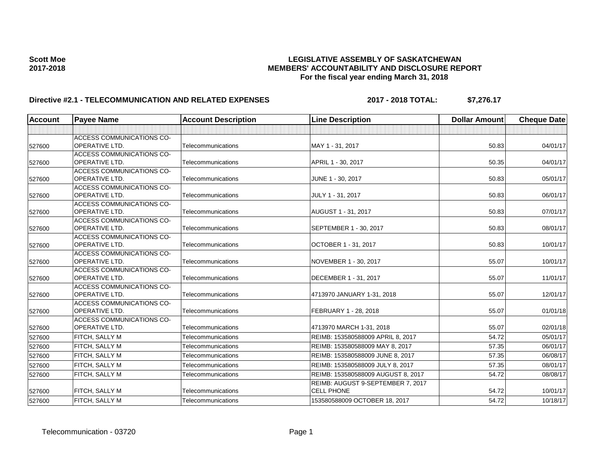### Scott Moe **Bidder Controlled Act and Scott Moe LEGISLATIVE ASSEMBLY OF SASKATCHEWAN**<br>MEMBERS' ACCOUNTABILITY AND DISCLOSURE REF **2017-2018 MEMBERS' ACCOUNTABILITY AND DISCLOSURE REPORT For the fiscal year ending March 31, 2018**

# **Directive #2.1 - TELECOMMUNICATION AND RELATED EXPENSES** 2017 - 2018 TOTAL: \$7,276.17

| <b>Account</b> | <b>Payee Name</b>                                         | <b>Account Description</b> | <b>Line Description</b>            | <b>Dollar Amount</b> | <b>Cheque Date</b> |
|----------------|-----------------------------------------------------------|----------------------------|------------------------------------|----------------------|--------------------|
|                |                                                           |                            |                                    |                      |                    |
| 527600         | <b>ACCESS COMMUNICATIONS CO-</b><br><b>OPERATIVE LTD.</b> | Telecommunications         | MAY 1 - 31, 2017                   | 50.83                | 04/01/17           |
|                | <b>ACCESS COMMUNICATIONS CO-</b>                          |                            |                                    |                      |                    |
| 527600         | <b>OPERATIVE LTD.</b>                                     | Telecommunications         | APRIL 1 - 30, 2017                 | 50.35                | 04/01/17           |
| 527600         | <b>ACCESS COMMUNICATIONS CO-</b><br><b>OPERATIVE LTD.</b> | Telecommunications         | JUNE 1 - 30, 2017                  | 50.83                | 05/01/17           |
|                | <b>ACCESS COMMUNICATIONS CO-</b>                          |                            |                                    |                      |                    |
| 527600         | <b>OPERATIVE LTD.</b>                                     | Telecommunications         | JULY 1 - 31, 2017                  | 50.83                | 06/01/17           |
| 527600         | <b>ACCESS COMMUNICATIONS CO-</b><br><b>OPERATIVE LTD.</b> | Telecommunications         | AUGUST 1 - 31, 2017                | 50.83                | 07/01/17           |
| 527600         | <b>ACCESS COMMUNICATIONS CO-</b><br><b>OPERATIVE LTD.</b> | Telecommunications         | SEPTEMBER 1 - 30, 2017             | 50.83                | 08/01/17           |
| 527600         | <b>ACCESS COMMUNICATIONS CO-</b><br>OPERATIVE LTD.        | Telecommunications         | OCTOBER 1 - 31, 2017               | 50.83                | 10/01/17           |
| 527600         | <b>ACCESS COMMUNICATIONS CO-</b><br>OPERATIVE LTD.        | Telecommunications         | NOVEMBER 1 - 30, 2017              | 55.07                | 10/01/17           |
|                | <b>ACCESS COMMUNICATIONS CO-</b>                          |                            |                                    |                      |                    |
| 527600         | <b>OPERATIVE LTD.</b>                                     | Telecommunications         | DECEMBER 1 - 31, 2017              | 55.07                | 11/01/17           |
| 527600         | <b>ACCESS COMMUNICATIONS CO-</b><br><b>OPERATIVE LTD.</b> | Telecommunications         | 4713970 JANUARY 1-31, 2018         | 55.07                | 12/01/17           |
| 527600         | ACCESS COMMUNICATIONS CO-<br><b>OPERATIVE LTD.</b>        | Telecommunications         | FEBRUARY 1 - 28, 2018              | 55.07                | 01/01/18           |
| 527600         | <b>ACCESS COMMUNICATIONS CO-</b><br><b>OPERATIVE LTD.</b> | Telecommunications         | 4713970 MARCH 1-31, 2018           | 55.07                | 02/01/18           |
| 527600         | FITCH, SALLY M                                            | Telecommunications         | REIMB: 153580588009 APRIL 8, 2017  | 54.72                | 05/01/17           |
| 527600         | <b>FITCH, SALLY M</b>                                     | Telecommunications         | REIMB: 153580588009 MAY 8, 2017    | 57.35                | 06/01/17           |
| 527600         | FITCH, SALLY M                                            | Telecommunications         | REIMB: 153580588009 JUNE 8, 2017   | 57.35                | 06/08/17           |
| 527600         | <b>FITCH, SALLY M</b>                                     | Telecommunications         | REIMB: 153580588009 JULY 8, 2017   | 57.35                | 08/01/17           |
| 527600         | <b>FITCH, SALLY M</b>                                     | Telecommunications         | REIMB: 153580588009 AUGUST 8, 2017 | 54.72                | 08/08/17           |
|                |                                                           |                            | REIMB: AUGUST 9-SEPTEMBER 7, 2017  |                      |                    |
| 527600         | <b>FITCH, SALLY M</b>                                     | Telecommunications         | <b>CELL PHONE</b>                  | 54.72                | 10/01/17           |
| 527600         | <b>FITCH, SALLY M</b>                                     | Telecommunications         | 153580588009 OCTOBER 18, 2017      | 54.72                | 10/18/17           |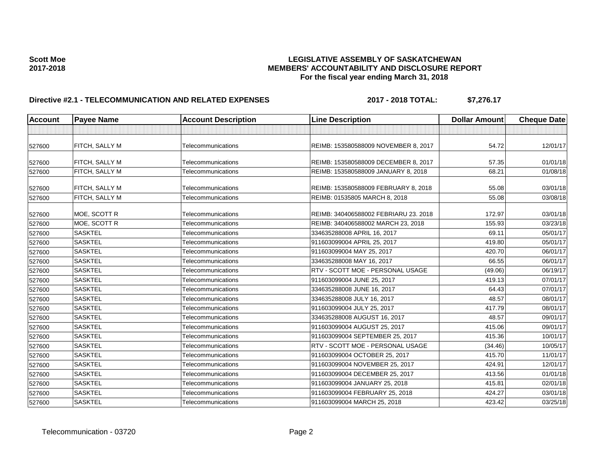### Scott Moe **Bidder Controlled Act and Scott Moe LEGISLATIVE ASSEMBLY OF SASKATCHEWAN**<br>MEMBERS' ACCOUNTABILITY AND DISCLOSURE REF **2017-2018 MEMBERS' ACCOUNTABILITY AND DISCLOSURE REPORT For the fiscal year ending March 31, 2018**

# **Directive #2.1 - TELECOMMUNICATION AND RELATED EXPENSES** 2017 - 2018 TOTAL: \$7,276.17

| <b>Account</b> | <b>Payee Name</b><br><b>Account Description</b><br><b>Line Description</b> |                    | <b>Dollar Amount</b>                  | <b>Cheque Date</b> |          |
|----------------|----------------------------------------------------------------------------|--------------------|---------------------------------------|--------------------|----------|
|                |                                                                            |                    |                                       |                    |          |
| 527600         | FITCH, SALLY M                                                             | Telecommunications | REIMB: 153580588009 NOVEMBER 8, 2017  | 54.72              | 12/01/17 |
| 527600         | <b>FITCH, SALLY M</b>                                                      | Telecommunications | REIMB: 153580588009 DECEMBER 8, 2017  | 57.35              | 01/01/18 |
| 527600         | <b>FITCH, SALLY M</b>                                                      | Telecommunications | REIMB: 153580588009 JANUARY 8, 2018   | 68.21              | 01/08/18 |
| 527600         | <b>FITCH, SALLY M</b>                                                      | Telecommunications | REIMB: 153580588009 FEBRUARY 8, 2018  | 55.08              | 03/01/18 |
| 527600         | <b>FITCH, SALLY M</b>                                                      | Telecommunications | REIMB: 01535805 MARCH 8, 2018         | 55.08              | 03/08/18 |
| 527600         | MOE, SCOTT R                                                               | Telecommunications | REIMB: 340406588002 FEBRIARU 23, 2018 | 172.97             | 03/01/18 |
| 527600         | MOE, SCOTT R                                                               | Telecommunications | REIMB: 340406588002 MARCH 23, 2018    | 155.93             | 03/23/18 |
| 527600         | <b>SASKTEL</b>                                                             | Telecommunications | 334635288008 APRIL 16, 2017           | 69.11              | 05/01/17 |
| 527600         | <b>SASKTEL</b>                                                             | Telecommunications | 911603099004 APRIL 25, 2017           | 419.80             | 05/01/17 |
| 527600         | <b>SASKTEL</b>                                                             | Telecommunications | 911603099004 MAY 25, 2017             | 420.70             | 06/01/17 |
| 527600         | <b>SASKTEL</b>                                                             | Telecommunications | 334635288008 MAY 16, 2017             | 66.55              | 06/01/17 |
| 527600         | <b>SASKTEL</b>                                                             | Telecommunications | RTV - SCOTT MOE - PERSONAL USAGE      | (49.06)            | 06/19/17 |
| 527600         | <b>SASKTEL</b>                                                             | Telecommunications | 911603099004 JUNE 25, 2017            | 419.13             | 07/01/17 |
| 527600         | <b>SASKTEL</b>                                                             | Telecommunications | 334635288008 JUNE 16, 2017            | 64.43              | 07/01/17 |
| 527600         | <b>SASKTEL</b>                                                             | Telecommunications | 334635288008 JULY 16, 2017            | 48.57              | 08/01/17 |
| 527600         | <b>SASKTEL</b>                                                             | Telecommunications | 911603099004 JULY 25, 2017            | 417.79             | 08/01/17 |
| 527600         | <b>SASKTEL</b>                                                             | Telecommunications | 334635288008 AUGUST 16, 2017          | 48.57              | 09/01/17 |
| 527600         | <b>SASKTEL</b>                                                             | Telecommunications | 911603099004 AUGUST 25, 2017          | 415.06             | 09/01/17 |
| 527600         | <b>SASKTEL</b>                                                             | Telecommunications | 911603099004 SEPTEMBER 25, 2017       | 415.36             | 10/01/17 |
| 527600         | <b>SASKTEL</b>                                                             | Telecommunications | RTV - SCOTT MOE - PERSONAL USAGE      | (34.46)            | 10/05/17 |
| 527600         | <b>SASKTEL</b>                                                             | Telecommunications | 911603099004 OCTOBER 25, 2017         | 415.70             | 11/01/17 |
| 527600         | <b>SASKTEL</b>                                                             | Telecommunications | 911603099004 NOVEMBER 25, 2017        | 424.91             | 12/01/17 |
| 527600         | <b>SASKTEL</b>                                                             | Telecommunications | 911603099004 DECEMBER 25, 2017        | 413.56             | 01/01/18 |
| 527600         | <b>SASKTEL</b>                                                             | Telecommunications | 911603099004 JANUARY 25, 2018         | 415.81             | 02/01/18 |
| 527600         | <b>SASKTEL</b>                                                             | Telecommunications | 911603099004 FEBRUARY 25, 2018        | 424.27             | 03/01/18 |
| 527600         | <b>SASKTEL</b>                                                             | Telecommunications | 911603099004 MARCH 25, 2018           | 423.42             | 03/25/18 |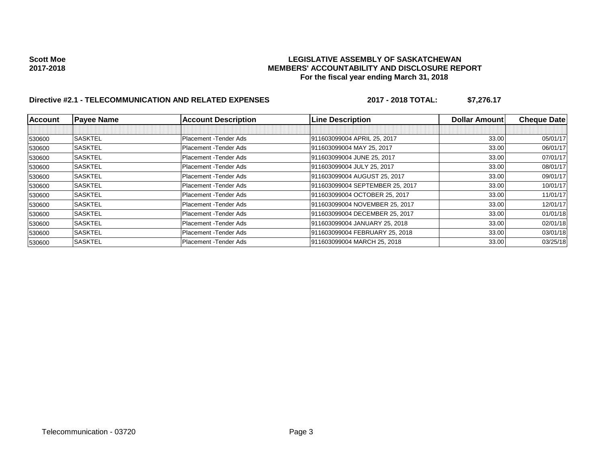### Scott Moe **Bidder Controlled Act and Scott Moe LEGISLATIVE ASSEMBLY OF SASKATCHEWAN**<br>MEMBERS' ACCOUNTABILITY AND DISCLOSURE REF **2017-2018 MEMBERS' ACCOUNTABILITY AND DISCLOSURE REPORT For the fiscal year ending March 31, 2018**

# **Directive #2.1 - TELECOMMUNICATION AND RELATED EXPENSES** 2017 - 2018 TOTAL: \$7,276.17

| <b>Account</b> | <b>Payee Name</b> | <b>Account Description</b> | <b>Line Description</b>         | <b>Dollar Amountl</b> | <b>Cheque Date</b> |
|----------------|-------------------|----------------------------|---------------------------------|-----------------------|--------------------|
|                |                   |                            |                                 |                       |                    |
| 530600         | <b>SASKTEL</b>    | Placement - Tender Ads     | 911603099004 APRIL 25, 2017     | 33.00                 | 05/01/17           |
| 530600         | <b>SASKTEL</b>    | Placement - Tender Ads     | 911603099004 MAY 25, 2017       | 33.00                 | 06/01/17           |
| 530600         | <b>SASKTEL</b>    | Placement - Tender Ads     | 911603099004 JUNE 25, 2017      | 33.00                 | 07/01/17           |
| 530600         | <b>SASKTEL</b>    | Placement - Tender Ads     | 911603099004 JULY 25, 2017      | 33.00                 | 08/01/17           |
| 530600         | <b>SASKTEL</b>    | Placement - Tender Ads     | 911603099004 AUGUST 25, 2017    | 33.00                 | 09/01/17           |
| 530600         | <b>SASKTEL</b>    | Placement - Tender Ads     | 911603099004 SEPTEMBER 25, 2017 | 33.00                 | 10/01/17           |
| 530600         | <b>SASKTEL</b>    | Placement - Tender Ads     | 911603099004 OCTOBER 25, 2017   | 33.00                 | 11/01/17           |
| 530600         | <b>SASKTEL</b>    | Placement - Tender Ads     | 911603099004 NOVEMBER 25, 2017  | 33.00                 | 12/01/17           |
| 530600         | <b>SASKTEL</b>    | Placement - Tender Ads     | 911603099004 DECEMBER 25, 2017  | 33.00                 | 01/01/18           |
| 530600         | <b>SASKTEL</b>    | Placement - Tender Ads     | 911603099004 JANUARY 25, 2018   | 33.00                 | 02/01/18           |
| 530600         | <b>SASKTEL</b>    | Placement - Tender Ads     | 911603099004 FEBRUARY 25, 2018  | 33.00                 | 03/01/18           |
| 530600         | <b>SASKTEL</b>    | Placement - Tender Ads     | 911603099004 MARCH 25, 2018     | 33.00                 | 03/25/18           |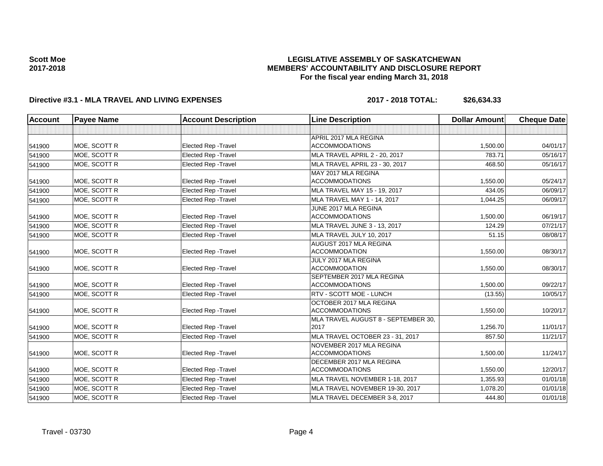### **LEGISLATIVE ASSEMBLY OF SASKATCHEWAN MEMBERS' ACCOUNTABILITY AND DISCLOSURE REPORT For the fiscal year ending March 31, 2018**

## **Directive #3.1 - MLA TRAVEL AND LIVING EXPENSES 2017 - 2018 TOTAL: \$26,634.33**

| <b>Account</b> | <b>Payee Name</b> | <b>Account Description</b>  | <b>Line Description</b>                           | <b>Dollar Amount</b> | <b>Cheque Date</b> |
|----------------|-------------------|-----------------------------|---------------------------------------------------|----------------------|--------------------|
|                |                   |                             |                                                   |                      |                    |
|                |                   |                             | APRIL 2017 MLA REGINA                             |                      |                    |
| 541900         | MOE, SCOTT R      | <b>Elected Rep - Travel</b> | <b>ACCOMMODATIONS</b>                             | 1,500.00             | 04/01/17           |
| 541900         | MOE. SCOTT R      | <b>Elected Rep - Travel</b> | MLA TRAVEL APRIL 2 - 20, 2017                     | 783.71               | 05/16/17           |
| 541900         | MOE, SCOTT R      | Elected Rep - Travel        | MLA TRAVEL APRIL 23 - 30, 2017                    | 468.50               | 05/16/17           |
|                |                   |                             | MAY 2017 MLA REGINA                               |                      |                    |
| 541900         | MOE, SCOTT R      | <b>Elected Rep - Travel</b> | <b>ACCOMMODATIONS</b>                             | 1,550.00             | 05/24/17           |
| 541900         | MOE. SCOTT R      | <b>Elected Rep - Travel</b> | MLA TRAVEL MAY 15 - 19, 2017                      | 434.05               | 06/09/17           |
| 541900         | MOE, SCOTT R      | <b>Elected Rep - Travel</b> | MLA TRAVEL MAY 1 - 14, 2017                       | 1,044.25             | 06/09/17           |
|                |                   |                             | JUNE 2017 MLA REGINA                              |                      |                    |
| 541900         | MOE, SCOTT R      | Elected Rep - Travel        | <b>ACCOMMODATIONS</b>                             | 1,500.00             | 06/19/17           |
| 541900         | MOE, SCOTT R      | <b>Elected Rep - Travel</b> | MLA TRAVEL JUNE 3 - 13, 2017                      | 124.29               | 07/21/17           |
| 541900         | MOE. SCOTT R      | <b>Elected Rep - Travel</b> | MLA TRAVEL JULY 10, 2017                          | 51.15                | 08/08/17           |
|                |                   |                             | AUGUST 2017 MLA REGINA                            |                      |                    |
| 541900         | MOE, SCOTT R      | <b>Elected Rep - Travel</b> | <b>ACCOMMODATION</b>                              | 1,550.00             | 08/30/17           |
|                |                   |                             | JULY 2017 MLA REGINA                              |                      |                    |
| 541900         | MOE, SCOTT R      | <b>Elected Rep - Travel</b> | <b>ACCOMMODATION</b>                              | 1,550.00             | 08/30/17           |
|                |                   |                             | SEPTEMBER 2017 MLA REGINA                         |                      |                    |
| 541900         | MOE, SCOTT R      | <b>Elected Rep - Travel</b> | <b>ACCOMMODATIONS</b>                             | 1.500.00             | 09/22/17           |
| 541900         | MOE, SCOTT R      | <b>Elected Rep - Travel</b> | RTV - SCOTT MOE - LUNCH                           | (13.55)              | 10/05/17           |
|                |                   |                             | OCTOBER 2017 MLA REGINA                           |                      |                    |
| 541900         | MOE, SCOTT R      | Elected Rep - Travel        | <b>ACCOMMODATIONS</b>                             | 1,550.00             | 10/20/17           |
|                | MOE, SCOTT R      | <b>Elected Rep - Travel</b> | MLA TRAVEL AUGUST 8 - SEPTEMBER 30.<br>2017       | 1,256.70             | 11/01/17           |
| 541900         | MOE. SCOTT R      |                             |                                                   | 857.50               |                    |
| 541900         |                   | Elected Rep - Travel        | MLA TRAVEL OCTOBER 23 - 31, 2017                  |                      | 11/21/17           |
| 541900         | MOE, SCOTT R      | Elected Rep - Travel        | NOVEMBER 2017 MLA REGINA<br><b>ACCOMMODATIONS</b> | 1,500.00             | 11/24/17           |
|                |                   |                             | DECEMBER 2017 MLA REGINA                          |                      |                    |
| 541900         | MOE, SCOTT R      | Elected Rep - Travel        | <b>ACCOMMODATIONS</b>                             | 1.550.00             | 12/20/17           |
| 541900         | MOE, SCOTT R      | <b>Elected Rep - Travel</b> | MLA TRAVEL NOVEMBER 1-18, 2017                    | 1,355.93             | 01/01/18           |
| 541900         | MOE, SCOTT R      | Elected Rep - Travel        | MLA TRAVEL NOVEMBER 19-30, 2017                   | 1,078.20             | 01/01/18           |
|                |                   |                             |                                                   | 444.80               |                    |
| 541900         | MOE, SCOTT R      | Elected Rep - Travel        | MLA TRAVEL DECEMBER 3-8, 2017                     |                      | 01/01/18           |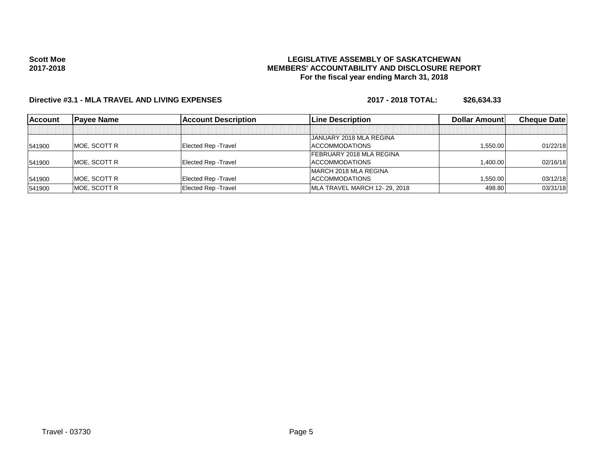### **LEGISLATIVE ASSEMBLY OF SASKATCHEWAN MEMBERS' ACCOUNTABILITY AND DISCLOSURE REPORT For the fiscal year ending March 31, 2018**

## **Directive #3.1 - MLA TRAVEL AND LIVING EXPENSES 2017 - 2018 TOTAL: \$26,634.33**

| <b>Account</b> | <b>Pavee Name</b>    | <b>Account Description</b>  | <b>Line Description</b>         | <b>Dollar Amount</b> | <b>Cheque Datel</b> |
|----------------|----------------------|-----------------------------|---------------------------------|----------------------|---------------------|
|                |                      |                             |                                 |                      |                     |
|                |                      |                             | JANUARY 2018 MLA REGINA         |                      |                     |
| 541900         | <b>IMOE, SCOTT R</b> | Elected Rep - Travel        | <b>ACCOMMODATIONS</b>           | .550.00              | 01/22/18            |
|                |                      |                             | <b>FEBRUARY 2018 MLA REGINA</b> |                      |                     |
| 541900         | <b>IMOE, SCOTT R</b> | Elected Rep - Travel        | <b>ACCOMMODATIONS</b>           | <b>.400.00</b>       | 02/16/18            |
|                |                      |                             | IMARCH 2018 MLA REGINA          |                      |                     |
| 541900         | <b>IMOE, SCOTT R</b> | Elected Rep - Travel        | ACCOMMODATIONS                  | .550.00              | 03/12/18            |
| 541900         | <b>MOE. SCOTT R</b>  | <b>Elected Rep - Travel</b> | MLA TRAVEL MARCH 12-29, 2018    | 498.80               | 03/31/18            |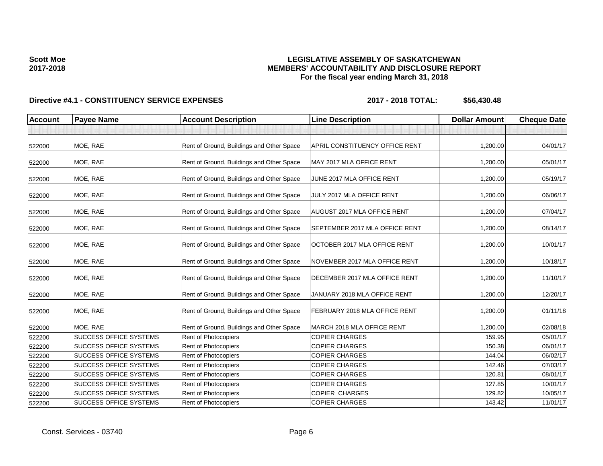### **LEGISLATIVE ASSEMBLY OF SASKATCHEWAN MEMBERS' ACCOUNTABILITY AND DISCLOSURE REPORT For the fiscal year ending March 31, 2018**

| <b>Account</b> | <b>Payee Name</b>             | <b>Account Description</b>                | <b>Line Description</b>        | <b>Dollar Amount</b> | <b>Cheque Date</b> |
|----------------|-------------------------------|-------------------------------------------|--------------------------------|----------------------|--------------------|
|                |                               |                                           |                                |                      |                    |
| 522000         | MOE, RAE                      | Rent of Ground, Buildings and Other Space | APRIL CONSTITUENCY OFFICE RENT | 1,200.00             | 04/01/17           |
| 522000         | MOE, RAE                      | Rent of Ground, Buildings and Other Space | MAY 2017 MLA OFFICE RENT       | 1,200.00             | 05/01/17           |
| 522000         | MOE, RAE                      | Rent of Ground, Buildings and Other Space | JUNE 2017 MLA OFFICE RENT      | 1,200.00             | 05/19/17           |
| 522000         | MOE, RAE                      | Rent of Ground, Buildings and Other Space | JULY 2017 MLA OFFICE RENT      | 1,200.00             | 06/06/17           |
| 522000         | MOE, RAE                      | Rent of Ground, Buildings and Other Space | AUGUST 2017 MLA OFFICE RENT    | 1,200.00             | 07/04/17           |
| 522000         | MOE, RAE                      | Rent of Ground, Buildings and Other Space | SEPTEMBER 2017 MLA OFFICE RENT | 1,200.00             | 08/14/17           |
| 522000         | MOE, RAE                      | Rent of Ground, Buildings and Other Space | OCTOBER 2017 MLA OFFICE RENT   | 1,200.00             | 10/01/17           |
| 522000         | MOE, RAE                      | Rent of Ground, Buildings and Other Space | NOVEMBER 2017 MLA OFFICE RENT  | 1,200.00             | 10/18/17           |
| 522000         | MOE, RAE                      | Rent of Ground, Buildings and Other Space | DECEMBER 2017 MLA OFFICE RENT  | 1,200.00             | 11/10/17           |
| 522000         | MOE, RAE                      | Rent of Ground, Buildings and Other Space | JANUARY 2018 MLA OFFICE RENT   | 1,200.00             | 12/20/17           |
| 522000         | MOE, RAE                      | Rent of Ground, Buildings and Other Space | FEBRUARY 2018 MLA OFFICE RENT  | 1,200.00             | 01/11/18           |
| 522000         | MOE, RAE                      | Rent of Ground, Buildings and Other Space | MARCH 2018 MLA OFFICE RENT     | 1,200.00             | 02/08/18           |
| 522200         | <b>SUCCESS OFFICE SYSTEMS</b> | Rent of Photocopiers                      | <b>COPIER CHARGES</b>          | 159.95               | 05/01/17           |
| 522200         | <b>SUCCESS OFFICE SYSTEMS</b> | Rent of Photocopiers                      | <b>COPIER CHARGES</b>          | 150.38               | 06/01/17           |
| 522200         | <b>SUCCESS OFFICE SYSTEMS</b> | Rent of Photocopiers                      | <b>COPIER CHARGES</b>          | 144.04               | 06/02/17           |
| 522200         | <b>SUCCESS OFFICE SYSTEMS</b> | Rent of Photocopiers                      | <b>COPIER CHARGES</b>          | 142.46               | 07/03/17           |
| 522200         | <b>SUCCESS OFFICE SYSTEMS</b> | Rent of Photocopiers                      | <b>COPIER CHARGES</b>          | 120.81               | 08/01/17           |
| 522200         | <b>SUCCESS OFFICE SYSTEMS</b> | Rent of Photocopiers                      | <b>COPIER CHARGES</b>          | 127.85               | 10/01/17           |
| 522200         | <b>SUCCESS OFFICE SYSTEMS</b> | Rent of Photocopiers                      | <b>COPIER CHARGES</b>          | 129.82               | 10/05/17           |
| 522200         | <b>SUCCESS OFFICE SYSTEMS</b> | Rent of Photocopiers                      | <b>COPIER CHARGES</b>          | 143.42               | 11/01/17           |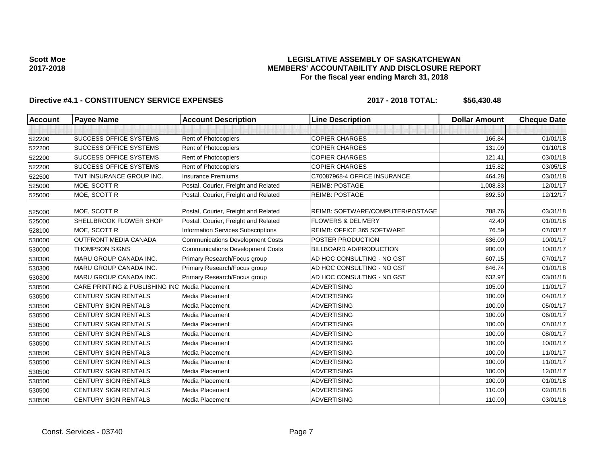### **LEGISLATIVE ASSEMBLY OF SASKATCHEWAN MEMBERS' ACCOUNTABILITY AND DISCLOSURE REPORT For the fiscal year ending March 31, 2018**

| <b>Account</b> | <b>Payee Name</b>                              | <b>Account Description</b>                | <b>Line Description</b>          | <b>Dollar Amount</b> | <b>Cheque Date</b> |
|----------------|------------------------------------------------|-------------------------------------------|----------------------------------|----------------------|--------------------|
|                |                                                |                                           |                                  |                      |                    |
| 522200         | <b>SUCCESS OFFICE SYSTEMS</b>                  | Rent of Photocopiers                      | <b>COPIER CHARGES</b>            | 166.84               | 01/01/18           |
| 522200         | <b>SUCCESS OFFICE SYSTEMS</b>                  | Rent of Photocopiers                      | <b>COPIER CHARGES</b>            | 131.09               | 01/10/18           |
| 522200         | <b>SUCCESS OFFICE SYSTEMS</b>                  | Rent of Photocopiers                      | <b>COPIER CHARGES</b>            | 121.41               | 03/01/18           |
| 522200         | <b>SUCCESS OFFICE SYSTEMS</b>                  | Rent of Photocopiers                      | <b>COPIER CHARGES</b>            | 115.82               | 03/05/18           |
| 522500         | TAIT INSURANCE GROUP INC.                      | <b>Insurance Premiums</b>                 | C70087968-4 OFFICE INSURANCE     | 464.28               | 03/01/18           |
| 525000         | MOE, SCOTT R                                   | Postal, Courier, Freight and Related      | <b>REIMB: POSTAGE</b>            | 1,008.83             | 12/01/17           |
| 525000         | MOE, SCOTT R                                   | Postal, Courier, Freight and Related      | <b>REIMB: POSTAGE</b>            | 892.50               | 12/12/17           |
| 525000         | MOE, SCOTT R                                   | Postal, Courier, Freight and Related      | REIMB: SOFTWARE/COMPUTER/POSTAGE | 788.76               | 03/31/18           |
| 525000         | SHELLBROOK FLOWER SHOP                         | Postal, Courier, Freight and Related      | <b>FLOWERS &amp; DELIVERY</b>    | 42.40                | 01/01/18           |
| 528100         | MOE. SCOTT R                                   | <b>Information Services Subscriptions</b> | REIMB: OFFICE 365 SOFTWARE       | 76.59                | 07/03/17           |
| 530000         | <b>OUTFRONT MEDIA CANADA</b>                   | <b>Communications Development Costs</b>   | POSTER PRODUCTION                | 636.00               | 10/01/17           |
| 530000         | <b>THOMPSON SIGNS</b>                          | <b>Communications Development Costs</b>   | BILLBOARD AD/PRODUCTION          | 900.00               | 10/01/17           |
| 530300         | MARU GROUP CANADA INC.                         | Primary Research/Focus group              | AD HOC CONSULTING - NO GST       | 607.15               | 07/01/17           |
| 530300         | <b>MARU GROUP CANADA INC.</b>                  | Primary Research/Focus group              | AD HOC CONSULTING - NO GST       | 646.74               | 01/01/18           |
| 530300         | MARU GROUP CANADA INC.                         | Primary Research/Focus group              | AD HOC CONSULTING - NO GST       | 632.97               | 03/01/18           |
| 530500         | CARE PRINTING & PUBLISHING INC Media Placement |                                           | <b>ADVERTISING</b>               | 105.00               | 11/01/17           |
| 530500         | CENTURY SIGN RENTALS                           | Media Placement                           | <b>ADVERTISING</b>               | 100.00               | 04/01/17           |
| 530500         | CENTURY SIGN RENTALS                           | Media Placement                           | <b>ADVERTISING</b>               | 100.00               | 05/01/17           |
| 530500         | CENTURY SIGN RENTALS                           | Media Placement                           | <b>ADVERTISING</b>               | 100.00               | 06/01/17           |
| 530500         | CENTURY SIGN RENTALS                           | Media Placement                           | <b>ADVERTISING</b>               | 100.00               | 07/01/17           |
| 530500         | CENTURY SIGN RENTALS                           | Media Placement                           | <b>ADVERTISING</b>               | 100.00               | 08/01/17           |
| 530500         | CENTURY SIGN RENTALS                           | Media Placement                           | <b>ADVERTISING</b>               | 100.00               | 10/01/17           |
| 530500         | CENTURY SIGN RENTALS                           | Media Placement                           | <b>ADVERTISING</b>               | 100.00               | 11/01/17           |
| 530500         | CENTURY SIGN RENTALS                           | Media Placement                           | <b>ADVERTISING</b>               | 100.00               | 11/01/17           |
| 530500         | CENTURY SIGN RENTALS                           | Media Placement                           | <b>ADVERTISING</b>               | 100.00               | 12/01/17           |
| 530500         | <b>CENTURY SIGN RENTALS</b>                    | Media Placement                           | <b>ADVERTISING</b>               | 100.00               | 01/01/18           |
| 530500         | CENTURY SIGN RENTALS                           | Media Placement                           | <b>ADVERTISING</b>               | 110.00               | 02/01/18           |
| 530500         | <b>CENTURY SIGN RENTALS</b>                    | Media Placement                           | <b>ADVERTISING</b>               | 110.00               | 03/01/18           |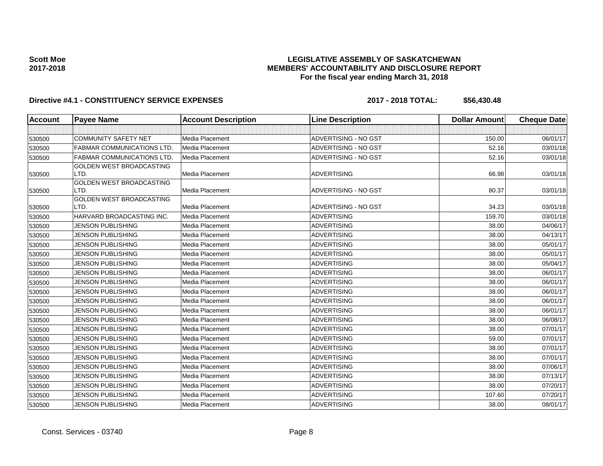### **LEGISLATIVE ASSEMBLY OF SASKATCHEWAN MEMBERS' ACCOUNTABILITY AND DISCLOSURE REPORT For the fiscal year ending March 31, 2018**

| <b>Account</b> | <b>Payee Name</b>                 | <b>Account Description</b> | <b>Line Description</b> | <b>Dollar Amount</b> | <b>Cheque Date</b> |
|----------------|-----------------------------------|----------------------------|-------------------------|----------------------|--------------------|
|                |                                   |                            |                         |                      |                    |
| 530500         | <b>COMMUNITY SAFETY NET</b>       | <b>Media Placement</b>     | ADVERTISING - NO GST    | 150.00               | 06/01/17           |
| 530500         | <b>FABMAR COMMUNICATIONS LTD.</b> | <b>Media Placement</b>     | ADVERTISING - NO GST    | 52.16                | 03/01/18           |
| 530500         | <b>FABMAR COMMUNICATIONS LTD</b>  | Media Placement            | ADVERTISING - NO GST    | 52.16                | 03/01/18           |
|                | GOLDEN WEST BROADCASTING          |                            |                         |                      |                    |
| 530500         | LTD.                              | <b>Media Placement</b>     | <b>ADVERTISING</b>      | 66.98                | 03/01/18           |
|                | GOLDEN WEST BROADCASTING          |                            |                         |                      |                    |
| 530500         | LTD.                              | Media Placement            | ADVERTISING - NO GST    | 80.37                | 03/01/18           |
| 530500         | GOLDEN WEST BROADCASTING<br>LTD.  | Media Placement            | ADVERTISING - NO GST    | 34.23                | 03/01/18           |
| 530500         | HARVARD BROADCASTING INC.         | Media Placement            | <b>ADVERTISING</b>      | 159.70               | 03/01/18           |
| 530500         | <b>JENSON PUBLISHING</b>          | <b>Media Placement</b>     | <b>ADVERTISING</b>      | 38.00                | 04/06/17           |
| 530500         | <b>JENSON PUBLISHING</b>          | Media Placement            | <b>ADVERTISING</b>      | 38.00                | 04/13/17           |
| 530500         | <b>JENSON PUBLISHING</b>          | <b>Media Placement</b>     | <b>ADVERTISING</b>      | 38.00                | 05/01/17           |
|                | <b>JENSON PUBLISHING</b>          | Media Placement            | <b>ADVERTISING</b>      | 38.00                | 05/01/17           |
| 530500         | JENSON PUBLISHING                 | Media Placement            | <b>ADVERTISING</b>      | 38.00                |                    |
| 530500         | <b>JENSON PUBLISHING</b>          | Media Placement            | <b>ADVERTISING</b>      | 38.00                | 05/04/17           |
| 530500         |                                   |                            |                         |                      | 06/01/17           |
| 530500         | <b>JENSON PUBLISHING</b>          | Media Placement            | <b>ADVERTISING</b>      | 38.00                | 06/01/17           |
| 530500         | JENSON PUBLISHING                 | Media Placement            | ADVERTISING             | 38.00                | 06/01/17           |
| 530500         | JENSON PUBLISHING                 | Media Placement            | <b>ADVERTISING</b>      | 38.00                | 06/01/17           |
| 530500         | <b>JENSON PUBLISHING</b>          | Media Placement            | <b>ADVERTISING</b>      | 38.00                | 06/01/17           |
| 530500         | <b>JENSON PUBLISHING</b>          | Media Placement            | <b>ADVERTISING</b>      | 38.00                | 06/08/17           |
| 530500         | <b>JENSON PUBLISHING</b>          | Media Placement            | <b>ADVERTISING</b>      | 38.00                | 07/01/17           |
| 530500         | <b>JENSON PUBLISHING</b>          | Media Placement            | ADVERTISING             | 59.00                | 07/01/17           |
| 530500         | <b>JENSON PUBLISHING</b>          | Media Placement            | <b>ADVERTISING</b>      | 38.00                | 07/01/17           |
| 530500         | <b>JENSON PUBLISHING</b>          | Media Placement            | <b>ADVERTISING</b>      | 38.00                | 07/01/17           |
| 530500         | <b>JENSON PUBLISHING</b>          | Media Placement            | <b>ADVERTISING</b>      | 38.00                | 07/06/17           |
| 530500         | <b>JENSON PUBLISHING</b>          | Media Placement            | <b>ADVERTISING</b>      | 38.00                | 07/13/17           |
| 530500         | JENSON PUBLISHING                 | Media Placement            | <b>ADVERTISING</b>      | 38.00                | 07/20/17           |
| 530500         | JENSON PUBLISHING                 | Media Placement            | <b>ADVERTISING</b>      | 107.60               | 07/20/17           |
| 530500         | <b>JENSON PUBLISHING</b>          | Media Placement            | <b>ADVERTISING</b>      | 38.00                | 08/01/17           |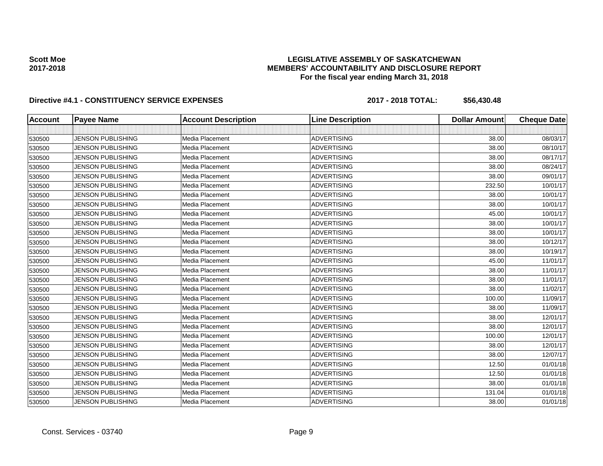### **LEGISLATIVE ASSEMBLY OF SASKATCHEWAN MEMBERS' ACCOUNTABILITY AND DISCLOSURE REPORT For the fiscal year ending March 31, 2018**

| <b>Account</b> | <b>Payee Name</b>        | <b>Account Description</b> | <b>Line Description</b> | <b>Dollar Amount</b> | <b>Cheque Date</b> |
|----------------|--------------------------|----------------------------|-------------------------|----------------------|--------------------|
|                |                          |                            |                         |                      |                    |
| 530500         | <b>JENSON PUBLISHING</b> | Media Placement            | <b>ADVERTISING</b>      | 38.00                | 08/03/17           |
| 530500         | <b>JENSON PUBLISHING</b> | Media Placement            | <b>ADVERTISING</b>      | 38.00                | 08/10/17           |
| 530500         | <b>JENSON PUBLISHING</b> | Media Placement            | <b>ADVERTISING</b>      | 38.00                | 08/17/17           |
| 530500         | <b>JENSON PUBLISHING</b> | Media Placement            | <b>ADVERTISING</b>      | 38.00                | 08/24/17           |
| 530500         | <b>JENSON PUBLISHING</b> | Media Placement            | <b>ADVERTISING</b>      | 38.00                | 09/01/17           |
| 530500         | <b>JENSON PUBLISHING</b> | Media Placement            | <b>ADVERTISING</b>      | 232.50               | 10/01/17           |
| 530500         | <b>JENSON PUBLISHING</b> | Media Placement            | <b>ADVERTISING</b>      | 38.00                | 10/01/17           |
| 530500         | <b>JENSON PUBLISHING</b> | Media Placement            | <b>ADVERTISING</b>      | 38.00                | 10/01/17           |
| 530500         | <b>JENSON PUBLISHING</b> | Media Placement            | <b>ADVERTISING</b>      | 45.00                | 10/01/17           |
| 530500         | JENSON PUBLISHING        | <b>Media Placement</b>     | <b>ADVERTISING</b>      | 38.00                | 10/01/17           |
| 530500         | <b>JENSON PUBLISHING</b> | Media Placement            | <b>ADVERTISING</b>      | 38.00                | 10/01/17           |
| 530500         | <b>JENSON PUBLISHING</b> | Media Placement            | <b>ADVERTISING</b>      | 38.00                | 10/12/17           |
| 530500         | JENSON PUBLISHING        | Media Placement            | <b>ADVERTISING</b>      | 38.00                | 10/19/17           |
| 530500         | <b>JENSON PUBLISHING</b> | Media Placement            | <b>ADVERTISING</b>      | 45.00                | 11/01/17           |
| 530500         | <b>JENSON PUBLISHING</b> | Media Placement            | <b>ADVERTISING</b>      | 38.00                | 11/01/17           |
| 530500         | <b>JENSON PUBLISHING</b> | Media Placement            | <b>ADVERTISING</b>      | 38.00                | 11/01/17           |
| 530500         | <b>JENSON PUBLISHING</b> | Media Placement            | <b>ADVERTISING</b>      | 38.00                | 11/02/17           |
| 530500         | <b>JENSON PUBLISHING</b> | Media Placement            | <b>ADVERTISING</b>      | 100.00               | 11/09/17           |
| 530500         | <b>JENSON PUBLISHING</b> | Media Placement            | <b>ADVERTISING</b>      | 38.00                | 11/09/17           |
| 530500         | <b>JENSON PUBLISHING</b> | Media Placement            | <b>ADVERTISING</b>      | 38.00                | 12/01/17           |
| 530500         | <b>JENSON PUBLISHING</b> | Media Placement            | <b>ADVERTISING</b>      | 38.00                | 12/01/17           |
| 530500         | <b>JENSON PUBLISHING</b> | <b>Media Placement</b>     | <b>ADVERTISING</b>      | 100.00               | 12/01/17           |
| 530500         | <b>JENSON PUBLISHING</b> | Media Placement            | <b>ADVERTISING</b>      | 38.00                | 12/01/17           |
| 530500         | <b>JENSON PUBLISHING</b> | Media Placement            | <b>ADVERTISING</b>      | 38.00                | 12/07/17           |
| 530500         | <b>JENSON PUBLISHING</b> | <b>Media Placement</b>     | <b>ADVERTISING</b>      | 12.50                | 01/01/18           |
| 530500         | <b>JENSON PUBLISHING</b> | <b>Media Placement</b>     | <b>ADVERTISING</b>      | 12.50                | 01/01/18           |
| 530500         | <b>JENSON PUBLISHING</b> | Media Placement            | <b>ADVERTISING</b>      | 38.00                | 01/01/18           |
| 530500         | <b>JENSON PUBLISHING</b> | Media Placement            | <b>ADVERTISING</b>      | 131.04               | 01/01/18           |
| 530500         | <b>JENSON PUBLISHING</b> | Media Placement            | <b>ADVERTISING</b>      | 38.00                | 01/01/18           |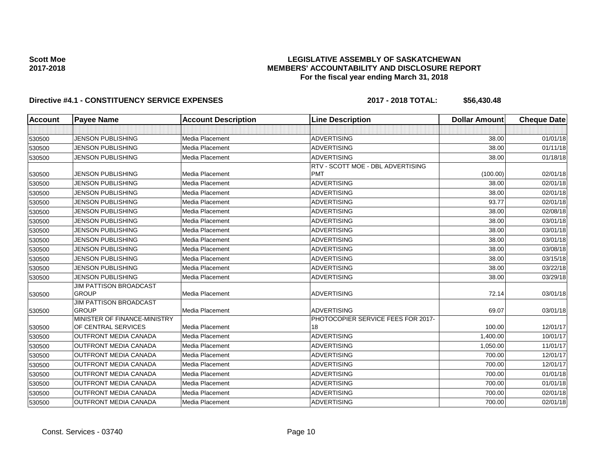### **LEGISLATIVE ASSEMBLY OF SASKATCHEWAN MEMBERS' ACCOUNTABILITY AND DISCLOSURE REPORT For the fiscal year ending March 31, 2018**

| <b>Account</b> | <b>Payee Name</b>                             | <b>Account Description</b> | <b>Line Description</b>            | <b>Dollar Amount</b> | <b>Cheque Date</b> |
|----------------|-----------------------------------------------|----------------------------|------------------------------------|----------------------|--------------------|
|                |                                               |                            |                                    |                      |                    |
| 530500         | <b>JENSON PUBLISHING</b>                      | Media Placement            | <b>ADVERTISING</b>                 | 38.00                | 01/01/18           |
| 530500         | <b>JENSON PUBLISHING</b>                      | Media Placement            | <b>ADVERTISING</b>                 | 38.00                | 01/11/18           |
| 530500         | <b>JENSON PUBLISHING</b>                      | Media Placement            | <b>ADVERTISING</b>                 | 38.00                | 01/18/18           |
|                |                                               |                            | RTV - SCOTT MOE - DBL ADVERTISING  |                      |                    |
| 530500         | <b>JENSON PUBLISHING</b>                      | Media Placement            | <b>PMT</b>                         | (100.00)             | 02/01/18           |
| 530500         | <b>JENSON PUBLISHING</b>                      | Media Placement            | <b>ADVERTISING</b>                 | 38.00                | 02/01/18           |
| 530500         | <b>JENSON PUBLISHING</b>                      | Media Placement            | <b>ADVERTISING</b>                 | 38.00                | 02/01/18           |
| 530500         | <b>JENSON PUBLISHING</b>                      | Media Placement            | <b>ADVERTISING</b>                 | 93.77                | 02/01/18           |
| 530500         | <b>JENSON PUBLISHING</b>                      | Media Placement            | <b>ADVERTISING</b>                 | 38.00                | 02/08/18           |
| 530500         | <b>JENSON PUBLISHING</b>                      | Media Placement            | <b>ADVERTISING</b>                 | 38.00                | 03/01/18           |
| 530500         | <b>JENSON PUBLISHING</b>                      | Media Placement            | <b>ADVERTISING</b>                 | 38.00                | 03/01/18           |
| 530500         | <b>JENSON PUBLISHING</b>                      | Media Placement            | <b>ADVERTISING</b>                 | 38.00                | 03/01/18           |
| 530500         | <b>JENSON PUBLISHING</b>                      | Media Placement            | <b>ADVERTISING</b>                 | 38.00                | 03/08/18           |
| 530500         | <b>JENSON PUBLISHING</b>                      | Media Placement            | <b>ADVERTISING</b>                 | 38.00                | 03/15/18           |
| 530500         | <b>JENSON PUBLISHING</b>                      | Media Placement            | <b>ADVERTISING</b>                 | 38.00                | 03/22/18           |
| 530500         | <b>JENSON PUBLISHING</b>                      | Media Placement            | <b>ADVERTISING</b>                 | 38.00                | 03/29/18           |
| 530500         | <b>JIM PATTISON BROADCAST</b><br><b>GROUP</b> | Media Placement            | <b>ADVERTISING</b>                 | 72.14                | 03/01/18           |
| 530500         | <b>JIM PATTISON BROADCAST</b><br><b>GROUP</b> | Media Placement            | <b>ADVERTISING</b>                 | 69.07                | 03/01/18           |
|                | MINISTER OF FINANCE-MINISTRY                  |                            | PHOTOCOPIER SERVICE FEES FOR 2017- |                      |                    |
| 530500         | OF CENTRAL SERVICES                           | Media Placement            | 18                                 | 100.00               | 12/01/17           |
| 530500         | <b>OUTFRONT MEDIA CANADA</b>                  | Media Placement            | <b>ADVERTISING</b>                 | 1,400.00             | 10/01/17           |
| 530500         | <b>OUTFRONT MEDIA CANADA</b>                  | Media Placement            | <b>ADVERTISING</b>                 | 1,050.00             | 11/01/17           |
| 530500         | <b>OUTFRONT MEDIA CANADA</b>                  | Media Placement            | <b>ADVERTISING</b>                 | 700.00               | 12/01/17           |
| 530500         | OUTFRONT MEDIA CANADA                         | Media Placement            | <b>ADVERTISING</b>                 | 700.00               | 12/01/17           |
| 530500         | <b>OUTFRONT MEDIA CANADA</b>                  | Media Placement            | <b>ADVERTISING</b>                 | 700.00               | 01/01/18           |
| 530500         | <b>OUTFRONT MEDIA CANADA</b>                  | Media Placement            | <b>ADVERTISING</b>                 | 700.00               | 01/01/18           |
| 530500         | <b>OUTFRONT MEDIA CANADA</b>                  | Media Placement            | <b>ADVERTISING</b>                 | 700.00               | 02/01/18           |
| 530500         | <b>OUTFRONT MEDIA CANADA</b>                  | Media Placement            | <b>ADVERTISING</b>                 | 700.00               | 02/01/18           |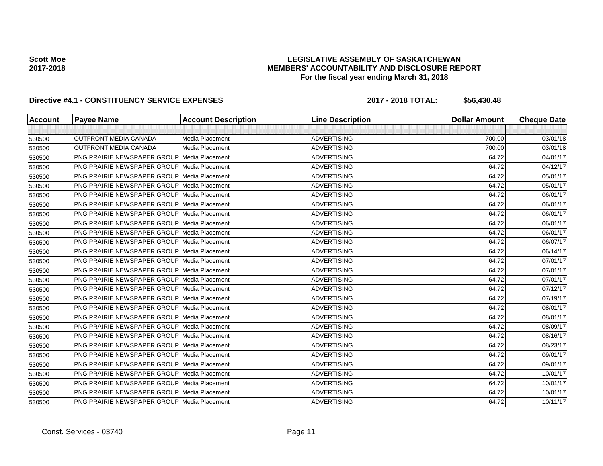### **LEGISLATIVE ASSEMBLY OF SASKATCHEWAN MEMBERS' ACCOUNTABILITY AND DISCLOSURE REPORT For the fiscal year ending March 31, 2018**

| <b>Account</b> | <b>Payee Name</b>                                  | <b>Account Description</b> | <b>Line Description</b> | <b>Dollar Amount</b> | <b>Cheque Date</b> |
|----------------|----------------------------------------------------|----------------------------|-------------------------|----------------------|--------------------|
|                |                                                    |                            |                         |                      |                    |
| 530500         | <b>OUTFRONT MEDIA CANADA</b>                       | Media Placement            | <b>ADVERTISING</b>      | 700.00               | 03/01/18           |
| 530500         | <b>OUTFRONT MEDIA CANADA</b>                       | Media Placement            | <b>ADVERTISING</b>      | 700.00               | 03/01/18           |
| 530500         | <b>PNG PRAIRIE NEWSPAPER GROUP Media Placement</b> |                            | <b>ADVERTISING</b>      | 64.72                | 04/01/17           |
| 530500         | <b>PNG PRAIRIE NEWSPAPER GROUP Media Placement</b> |                            | <b>ADVERTISING</b>      | 64.72                | 04/12/17           |
| 530500         | <b>PNG PRAIRIE NEWSPAPER GROUP Media Placement</b> |                            | <b>ADVERTISING</b>      | 64.72                | 05/01/17           |
| 530500         | <b>PNG PRAIRIE NEWSPAPER GROUP Media Placement</b> |                            | <b>ADVERTISING</b>      | 64.72                | 05/01/17           |
| 530500         | <b>PNG PRAIRIE NEWSPAPER GROUP Media Placement</b> |                            | <b>ADVERTISING</b>      | 64.72                | 06/01/17           |
| 530500         | <b>PNG PRAIRIE NEWSPAPER GROUP Media Placement</b> |                            | <b>ADVERTISING</b>      | 64.72                | 06/01/17           |
| 530500         | <b>PNG PRAIRIE NEWSPAPER GROUP Media Placement</b> |                            | <b>ADVERTISING</b>      | 64.72                | 06/01/17           |
| 530500         | <b>PNG PRAIRIE NEWSPAPER GROUP Media Placement</b> |                            | <b>ADVERTISING</b>      | 64.72                | 06/01/17           |
| 530500         | <b>PNG PRAIRIE NEWSPAPER GROUP Media Placement</b> |                            | <b>ADVERTISING</b>      | 64.72                | 06/01/17           |
| 530500         | <b>PNG PRAIRIE NEWSPAPER GROUP Media Placement</b> |                            | <b>ADVERTISING</b>      | 64.72                | 06/07/17           |
| 530500         | <b>PNG PRAIRIE NEWSPAPER GROUP Media Placement</b> |                            | <b>ADVERTISING</b>      | 64.72                | 06/14/17           |
| 530500         | <b>PNG PRAIRIE NEWSPAPER GROUP Media Placement</b> |                            | <b>ADVERTISING</b>      | 64.72                | 07/01/17           |
| 530500         | <b>PNG PRAIRIE NEWSPAPER GROUP Media Placement</b> |                            | <b>ADVERTISING</b>      | 64.72                | 07/01/17           |
| 530500         | <b>PNG PRAIRIE NEWSPAPER GROUP Media Placement</b> |                            | <b>ADVERTISING</b>      | 64.72                | 07/01/17           |
| 530500         | <b>PNG PRAIRIE NEWSPAPER GROUP Media Placement</b> |                            | <b>ADVERTISING</b>      | 64.72                | 07/12/17           |
| 530500         | <b>PNG PRAIRIE NEWSPAPER GROUP Media Placement</b> |                            | <b>ADVERTISING</b>      | 64.72                | 07/19/17           |
| 530500         | <b>PNG PRAIRIE NEWSPAPER GROUP Media Placement</b> |                            | <b>ADVERTISING</b>      | 64.72                | 08/01/17           |
| 530500         | <b>PNG PRAIRIE NEWSPAPER GROUP Media Placement</b> |                            | <b>ADVERTISING</b>      | 64.72                | 08/01/17           |
| 530500         | <b>PNG PRAIRIE NEWSPAPER GROUP Media Placement</b> |                            | <b>ADVERTISING</b>      | 64.72                | 08/09/17           |
| 530500         | <b>PNG PRAIRIE NEWSPAPER GROUP Media Placement</b> |                            | <b>ADVERTISING</b>      | 64.72                | 08/16/17           |
| 530500         | <b>PNG PRAIRIE NEWSPAPER GROUP Media Placement</b> |                            | <b>ADVERTISING</b>      | 64.72                | 08/23/17           |
| 530500         | <b>PNG PRAIRIE NEWSPAPER GROUP Media Placement</b> |                            | <b>ADVERTISING</b>      | 64.72                | 09/01/17           |
| 530500         | <b>PNG PRAIRIE NEWSPAPER GROUP Media Placement</b> |                            | <b>ADVERTISING</b>      | 64.72                | 09/01/17           |
| 530500         | <b>PNG PRAIRIE NEWSPAPER GROUP Media Placement</b> |                            | <b>ADVERTISING</b>      | 64.72                | 10/01/17           |
| 530500         | <b>PNG PRAIRIE NEWSPAPER GROUP Media Placement</b> |                            | <b>ADVERTISING</b>      | 64.72                | 10/01/17           |
| 530500         | <b>PNG PRAIRIE NEWSPAPER GROUP Media Placement</b> |                            | <b>ADVERTISING</b>      | 64.72                | 10/01/17           |
| 530500         | PNG PRAIRIE NEWSPAPER GROUP Media Placement        |                            | <b>ADVERTISING</b>      | 64.72                | 10/11/17           |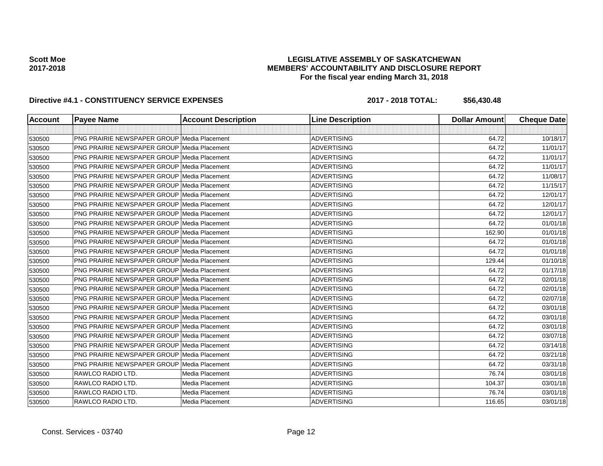### **LEGISLATIVE ASSEMBLY OF SASKATCHEWAN MEMBERS' ACCOUNTABILITY AND DISCLOSURE REPORT For the fiscal year ending March 31, 2018**

| <b>Account</b> | <b>Payee Name</b>                                  | <b>Account Description</b> | <b>Line Description</b> | <b>Dollar Amount</b> | <b>Cheque Date</b> |
|----------------|----------------------------------------------------|----------------------------|-------------------------|----------------------|--------------------|
|                |                                                    |                            |                         |                      |                    |
| 530500         | <b>PNG PRAIRIE NEWSPAPER GROUP Media Placement</b> |                            | <b>ADVERTISING</b>      | 64.72                | 10/18/17           |
| 530500         | <b>PNG PRAIRIE NEWSPAPER GROUP Media Placement</b> |                            | <b>ADVERTISING</b>      | 64.72                | 11/01/17           |
| 530500         | <b>PNG PRAIRIE NEWSPAPER GROUP Media Placement</b> |                            | <b>ADVERTISING</b>      | 64.72                | 11/01/17           |
| 530500         | <b>PNG PRAIRIE NEWSPAPER GROUP Media Placement</b> |                            | <b>ADVERTISING</b>      | 64.72                | 11/01/17           |
| 530500         | <b>PNG PRAIRIE NEWSPAPER GROUP Media Placement</b> |                            | <b>ADVERTISING</b>      | 64.72                | 11/08/17           |
| 530500         | <b>PNG PRAIRIE NEWSPAPER GROUP Media Placement</b> |                            | <b>ADVERTISING</b>      | 64.72                | 11/15/17           |
| 530500         | PNG PRAIRIE NEWSPAPER GROUP Media Placement        |                            | <b>ADVERTISING</b>      | 64.72                | 12/01/17           |
| 530500         | <b>PNG PRAIRIE NEWSPAPER GROUP Media Placement</b> |                            | <b>ADVERTISING</b>      | 64.72                | 12/01/17           |
| 530500         | <b>PNG PRAIRIE NEWSPAPER GROUP Media Placement</b> |                            | <b>ADVERTISING</b>      | 64.72                | 12/01/17           |
| 530500         | <b>PNG PRAIRIE NEWSPAPER GROUP Media Placement</b> |                            | <b>ADVERTISING</b>      | 64.72                | 01/01/18           |
| 530500         | <b>PNG PRAIRIE NEWSPAPER GROUP Media Placement</b> |                            | <b>ADVERTISING</b>      | 162.90               | 01/01/18           |
| 530500         | <b>PNG PRAIRIE NEWSPAPER GROUP Media Placement</b> |                            | <b>ADVERTISING</b>      | 64.72                | 01/01/18           |
| 530500         | <b>PNG PRAIRIE NEWSPAPER GROUP Media Placement</b> |                            | <b>ADVERTISING</b>      | 64.72                | 01/01/18           |
| 530500         | <b>PNG PRAIRIE NEWSPAPER GROUP Media Placement</b> |                            | <b>ADVERTISING</b>      | 129.44               | 01/10/18           |
| 530500         | PNG PRAIRIE NEWSPAPER GROUP Media Placement        |                            | <b>ADVERTISING</b>      | 64.72                | 01/17/18           |
| 530500         | <b>PNG PRAIRIE NEWSPAPER GROUP Media Placement</b> |                            | <b>ADVERTISING</b>      | 64.72                | 02/01/18           |
| 530500         | <b>PNG PRAIRIE NEWSPAPER GROUP Media Placement</b> |                            | <b>ADVERTISING</b>      | 64.72                | 02/01/18           |
| 530500         | <b>PNG PRAIRIE NEWSPAPER GROUP Media Placement</b> |                            | <b>ADVERTISING</b>      | 64.72                | 02/07/18           |
| 530500         | <b>PNG PRAIRIE NEWSPAPER GROUP Media Placement</b> |                            | <b>ADVERTISING</b>      | 64.72                | 03/01/18           |
| 530500         | <b>PNG PRAIRIE NEWSPAPER GROUP Media Placement</b> |                            | <b>ADVERTISING</b>      | 64.72                | 03/01/18           |
| 530500         | <b>PNG PRAIRIE NEWSPAPER GROUP Media Placement</b> |                            | <b>ADVERTISING</b>      | 64.72                | 03/01/18           |
| 530500         | <b>PNG PRAIRIE NEWSPAPER GROUP Media Placement</b> |                            | <b>ADVERTISING</b>      | 64.72                | 03/07/18           |
| 530500         | <b>PNG PRAIRIE NEWSPAPER GROUP Media Placement</b> |                            | <b>ADVERTISING</b>      | 64.72                | 03/14/18           |
| 530500         | <b>PNG PRAIRIE NEWSPAPER GROUP Media Placement</b> |                            | <b>ADVERTISING</b>      | 64.72                | 03/21/18           |
| 530500         | <b>PNG PRAIRIE NEWSPAPER GROUP Media Placement</b> |                            | <b>ADVERTISING</b>      | 64.72                | 03/31/18           |
| 530500         | RAWLCO RADIO LTD.                                  | Media Placement            | <b>ADVERTISING</b>      | 76.74                | 03/01/18           |
| 530500         | RAWLCO RADIO LTD.                                  | Media Placement            | <b>ADVERTISING</b>      | 104.37               | 03/01/18           |
| 530500         | RAWLCO RADIO LTD.                                  | <b>Media Placement</b>     | <b>ADVERTISING</b>      | 76.74                | 03/01/18           |
| 530500         | RAWLCO RADIO LTD.                                  | Media Placement            | <b>ADVERTISING</b>      | 116.65               | 03/01/18           |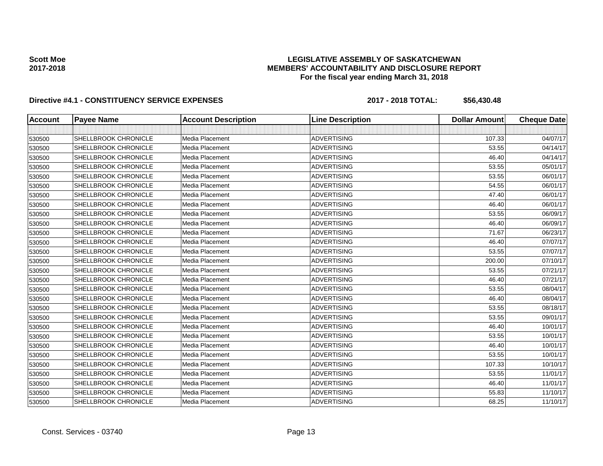### **LEGISLATIVE ASSEMBLY OF SASKATCHEWAN MEMBERS' ACCOUNTABILITY AND DISCLOSURE REPORT For the fiscal year ending March 31, 2018**

| <b>Account</b> | <b>Payee Name</b>    | <b>Account Description</b> | <b>Line Description</b> | <b>Dollar Amount</b> | <b>Cheque Date</b> |
|----------------|----------------------|----------------------------|-------------------------|----------------------|--------------------|
|                |                      |                            |                         |                      |                    |
| 530500         | SHELLBROOK CHRONICLE | Media Placement            | <b>ADVERTISING</b>      | 107.33               | 04/07/17           |
| 530500         | SHELLBROOK CHRONICLE | Media Placement            | <b>ADVERTISING</b>      | 53.55                | 04/14/17           |
| 530500         | SHELLBROOK CHRONICLE | Media Placement            | <b>ADVERTISING</b>      | 46.40                | 04/14/17           |
| 530500         | SHELLBROOK CHRONICLE | Media Placement            | <b>ADVERTISING</b>      | 53.55                | 05/01/17           |
| 530500         | SHELLBROOK CHRONICLE | Media Placement            | <b>ADVERTISING</b>      | 53.55                | 06/01/17           |
| 530500         | SHELLBROOK CHRONICLE | Media Placement            | <b>ADVERTISING</b>      | 54.55                | 06/01/17           |
| 530500         | SHELLBROOK CHRONICLE | Media Placement            | <b>ADVERTISING</b>      | 47.40                | 06/01/17           |
| 530500         | SHELLBROOK CHRONICLE | Media Placement            | <b>ADVERTISING</b>      | 46.40                | 06/01/17           |
| 530500         | SHELLBROOK CHRONICLE | Media Placement            | <b>ADVERTISING</b>      | 53.55                | 06/09/17           |
| 530500         | SHELLBROOK CHRONICLE | Media Placement            | <b>ADVERTISING</b>      | 46.40                | 06/09/17           |
| 530500         | SHELLBROOK CHRONICLE | Media Placement            | <b>ADVERTISING</b>      | 71.67                | 06/23/17           |
| 530500         | SHELLBROOK CHRONICLE | Media Placement            | <b>ADVERTISING</b>      | 46.40                | 07/07/17           |
| 530500         | SHELLBROOK CHRONICLE | Media Placement            | <b>ADVERTISING</b>      | 53.55                | 07/07/17           |
| 530500         | SHELLBROOK CHRONICLE | Media Placement            | <b>ADVERTISING</b>      | 200.00               | 07/10/17           |
| 530500         | SHELLBROOK CHRONICLE | Media Placement            | <b>ADVERTISING</b>      | 53.55                | 07/21/17           |
| 530500         | SHELLBROOK CHRONICLE | Media Placement            | <b>ADVERTISING</b>      | 46.40                | 07/21/17           |
| 530500         | SHELLBROOK CHRONICLE | Media Placement            | <b>ADVERTISING</b>      | 53.55                | 08/04/17           |
| 530500         | SHELLBROOK CHRONICLE | Media Placement            | <b>ADVERTISING</b>      | 46.40                | 08/04/17           |
| 530500         | SHELLBROOK CHRONICLE | Media Placement            | <b>ADVERTISING</b>      | 53.55                | 08/18/17           |
| 530500         | SHELLBROOK CHRONICLE | Media Placement            | <b>ADVERTISING</b>      | 53.55                | 09/01/17           |
| 530500         | SHELLBROOK CHRONICLE | Media Placement            | <b>ADVERTISING</b>      | 46.40                | 10/01/17           |
| 530500         | SHELLBROOK CHRONICLE | Media Placement            | <b>ADVERTISING</b>      | 53.55                | 10/01/17           |
| 530500         | SHELLBROOK CHRONICLE | Media Placement            | <b>ADVERTISING</b>      | 46.40                | 10/01/17           |
| 530500         | SHELLBROOK CHRONICLE | Media Placement            | <b>ADVERTISING</b>      | 53.55                | 10/01/17           |
| 530500         | SHELLBROOK CHRONICLE | Media Placement            | <b>ADVERTISING</b>      | 107.33               | 10/10/17           |
| 530500         | SHELLBROOK CHRONICLE | Media Placement            | <b>ADVERTISING</b>      | 53.55                | 11/01/17           |
| 530500         | SHELLBROOK CHRONICLE | <b>Media Placement</b>     | <b>ADVERTISING</b>      | 46.40                | 11/01/17           |
| 530500         | SHELLBROOK CHRONICLE | Media Placement            | <b>ADVERTISING</b>      | 55.83                | 11/10/17           |
| 530500         | SHELLBROOK CHRONICLE | Media Placement            | <b>ADVERTISING</b>      | 68.25                | 11/10/17           |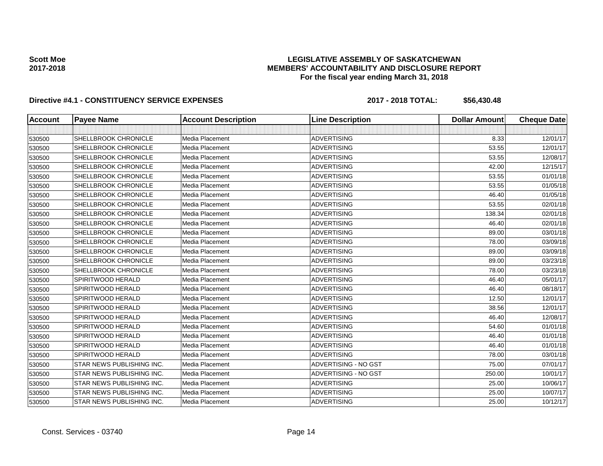### **LEGISLATIVE ASSEMBLY OF SASKATCHEWAN MEMBERS' ACCOUNTABILITY AND DISCLOSURE REPORT For the fiscal year ending March 31, 2018**

| <b>Account</b> | <b>Payee Name</b>         | <b>Account Description</b> | <b>Line Description</b> | <b>Dollar Amount</b> | <b>Cheque Date</b> |
|----------------|---------------------------|----------------------------|-------------------------|----------------------|--------------------|
|                |                           |                            |                         |                      |                    |
| 530500         | SHELLBROOK CHRONICLE      | Media Placement            | <b>ADVERTISING</b>      | 8.33                 | 12/01/17           |
| 530500         | SHELLBROOK CHRONICLE      | Media Placement            | <b>ADVERTISING</b>      | 53.55                | 12/01/17           |
| 530500         | SHELLBROOK CHRONICLE      | Media Placement            | <b>ADVERTISING</b>      | 53.55                | 12/08/17           |
| 530500         | SHELLBROOK CHRONICLE      | Media Placement            | <b>ADVERTISING</b>      | 42.00                | 12/15/17           |
| 530500         | SHELLBROOK CHRONICLE      | Media Placement            | <b>ADVERTISING</b>      | 53.55                | 01/01/18           |
| 530500         | SHELLBROOK CHRONICLE      | Media Placement            | <b>ADVERTISING</b>      | 53.55                | 01/05/18           |
| 530500         | SHELLBROOK CHRONICLE      | Media Placement            | <b>ADVERTISING</b>      | 46.40                | 01/05/18           |
| 530500         | SHELLBROOK CHRONICLE      | Media Placement            | <b>ADVERTISING</b>      | 53.55                | 02/01/18           |
| 530500         | SHELLBROOK CHRONICLE      | Media Placement            | <b>ADVERTISING</b>      | 138.34               | 02/01/18           |
| 530500         | SHELLBROOK CHRONICLE      | Media Placement            | <b>ADVERTISING</b>      | 46.40                | 02/01/18           |
| 530500         | SHELLBROOK CHRONICLE      | Media Placement            | <b>ADVERTISING</b>      | 89.00                | 03/01/18           |
| 530500         | SHELLBROOK CHRONICLE      | Media Placement            | <b>ADVERTISING</b>      | 78.00                | 03/09/18           |
| 530500         | SHELLBROOK CHRONICLE      | <b>Media Placement</b>     | <b>ADVERTISING</b>      | 89.00                | 03/09/18           |
| 530500         | SHELLBROOK CHRONICLE      | <b>Media Placement</b>     | <b>ADVERTISING</b>      | 89.00                | 03/23/18           |
| 530500         | SHELLBROOK CHRONICLE      | Media Placement            | <b>ADVERTISING</b>      | 78.00                | 03/23/18           |
| 530500         | SPIRITWOOD HERALD         | Media Placement            | <b>ADVERTISING</b>      | 46.40                | 05/01/17           |
| 530500         | SPIRITWOOD HERALD         | Media Placement            | <b>ADVERTISING</b>      | 46.40                | 08/18/17           |
| 530500         | SPIRITWOOD HERALD         | Media Placement            | <b>ADVERTISING</b>      | 12.50                | 12/01/17           |
| 530500         | SPIRITWOOD HERALD         | Media Placement            | <b>ADVERTISING</b>      | 38.56                | 12/01/17           |
| 530500         | SPIRITWOOD HERALD         | Media Placement            | <b>ADVERTISING</b>      | 46.40                | 12/08/17           |
| 530500         | SPIRITWOOD HERALD         | Media Placement            | <b>ADVERTISING</b>      | 54.60                | 01/01/18           |
| 530500         | SPIRITWOOD HERALD         | Media Placement            | <b>ADVERTISING</b>      | 46.40                | 01/01/18           |
| 530500         | SPIRITWOOD HERALD         | Media Placement            | <b>ADVERTISING</b>      | 46.40                | 01/01/18           |
| 530500         | SPIRITWOOD HERALD         | Media Placement            | <b>ADVERTISING</b>      | 78.00                | 03/01/18           |
| 530500         | STAR NEWS PUBLISHING INC. | Media Placement            | ADVERTISING - NO GST    | 75.00                | 07/01/17           |
| 530500         | STAR NEWS PUBLISHING INC. | Media Placement            | ADVERTISING - NO GST    | 250.00               | 10/01/17           |
| 530500         | STAR NEWS PUBLISHING INC. | <b>Media Placement</b>     | <b>ADVERTISING</b>      | 25.00                | 10/06/17           |
| 530500         | STAR NEWS PUBLISHING INC. | Media Placement            | <b>ADVERTISING</b>      | 25.00                | 10/07/17           |
| 530500         | STAR NEWS PUBLISHING INC. | Media Placement            | <b>ADVERTISING</b>      | 25.00                | 10/12/17           |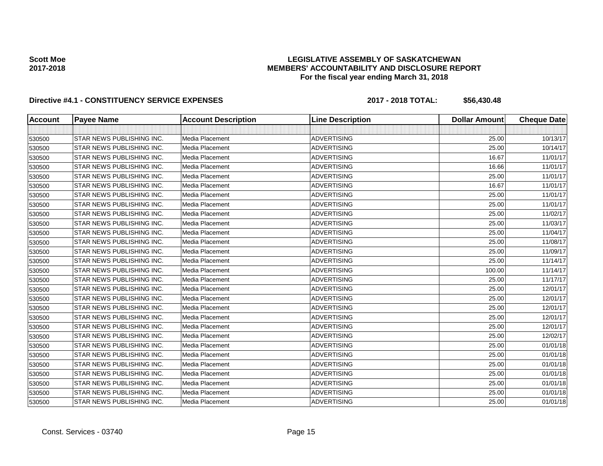### **LEGISLATIVE ASSEMBLY OF SASKATCHEWAN MEMBERS' ACCOUNTABILITY AND DISCLOSURE REPORT For the fiscal year ending March 31, 2018**

| <b>Account</b> | <b>Payee Name</b>         | <b>Account Description</b> | <b>Line Description</b> | <b>Dollar Amount</b> | <b>Cheque Date</b> |
|----------------|---------------------------|----------------------------|-------------------------|----------------------|--------------------|
|                |                           |                            |                         |                      |                    |
| 530500         | STAR NEWS PUBLISHING INC. | <b>Media Placement</b>     | <b>ADVERTISING</b>      | 25.00                | 10/13/17           |
| 530500         | STAR NEWS PUBLISHING INC. | Media Placement            | <b>ADVERTISING</b>      | 25.00                | 10/14/17           |
| 530500         | STAR NEWS PUBLISHING INC. | <b>Media Placement</b>     | <b>ADVERTISING</b>      | 16.67                | 11/01/17           |
| 530500         | STAR NEWS PUBLISHING INC. | Media Placement            | <b>ADVERTISING</b>      | 16.66                | 11/01/17           |
| 530500         | STAR NEWS PUBLISHING INC. | Media Placement            | <b>ADVERTISING</b>      | 25.00                | 11/01/17           |
| 530500         | STAR NEWS PUBLISHING INC. | Media Placement            | <b>ADVERTISING</b>      | 16.67                | 11/01/17           |
| 530500         | STAR NEWS PUBLISHING INC. | Media Placement            | <b>ADVERTISING</b>      | 25.00                | 11/01/17           |
| 530500         | STAR NEWS PUBLISHING INC. | Media Placement            | <b>ADVERTISING</b>      | 25.00                | 11/01/17           |
| 530500         | STAR NEWS PUBLISHING INC. | Media Placement            | <b>ADVERTISING</b>      | 25.00                | 11/02/17           |
| 530500         | STAR NEWS PUBLISHING INC. | Media Placement            | <b>ADVERTISING</b>      | 25.00                | 11/03/17           |
| 530500         | STAR NEWS PUBLISHING INC. | <b>Media Placement</b>     | <b>ADVERTISING</b>      | 25.00                | 11/04/17           |
| 530500         | STAR NEWS PUBLISHING INC. | Media Placement            | <b>ADVERTISING</b>      | 25.00                | 11/08/17           |
| 530500         | STAR NEWS PUBLISHING INC. | Media Placement            | <b>ADVERTISING</b>      | 25.00                | 11/09/17           |
| 530500         | STAR NEWS PUBLISHING INC. | Media Placement            | <b>ADVERTISING</b>      | 25.00                | 11/14/17           |
| 530500         | STAR NEWS PUBLISHING INC. | Media Placement            | <b>ADVERTISING</b>      | 100.00               | 11/14/17           |
| 530500         | STAR NEWS PUBLISHING INC. | Media Placement            | <b>ADVERTISING</b>      | 25.00                | 11/17/17           |
| 530500         | STAR NEWS PUBLISHING INC. | Media Placement            | <b>ADVERTISING</b>      | 25.00                | 12/01/17           |
| 530500         | STAR NEWS PUBLISHING INC. | Media Placement            | <b>ADVERTISING</b>      | 25.00                | 12/01/17           |
| 530500         | STAR NEWS PUBLISHING INC. | Media Placement            | <b>ADVERTISING</b>      | 25.00                | 12/01/17           |
| 530500         | STAR NEWS PUBLISHING INC. | Media Placement            | <b>ADVERTISING</b>      | 25.00                | 12/01/17           |
| 530500         | STAR NEWS PUBLISHING INC. | Media Placement            | <b>ADVERTISING</b>      | 25.00                | 12/01/17           |
| 530500         | STAR NEWS PUBLISHING INC. | Media Placement            | <b>ADVERTISING</b>      | 25.00                | 12/02/17           |
| 530500         | STAR NEWS PUBLISHING INC. | Media Placement            | <b>ADVERTISING</b>      | 25.00                | 01/01/18           |
| 530500         | STAR NEWS PUBLISHING INC. | Media Placement            | <b>ADVERTISING</b>      | 25.00                | 01/01/18           |
| 530500         | STAR NEWS PUBLISHING INC. | <b>Media Placement</b>     | <b>ADVERTISING</b>      | 25.00                | 01/01/18           |
| 530500         | STAR NEWS PUBLISHING INC. | Media Placement            | <b>ADVERTISING</b>      | 25.00                | 01/01/18           |
| 530500         | STAR NEWS PUBLISHING INC. | Media Placement            | <b>ADVERTISING</b>      | 25.00                | 01/01/18           |
| 530500         | STAR NEWS PUBLISHING INC. | Media Placement            | <b>ADVERTISING</b>      | 25.00                | 01/01/18           |
| 530500         | STAR NEWS PUBLISHING INC. | Media Placement            | <b>ADVERTISING</b>      | 25.00                | 01/01/18           |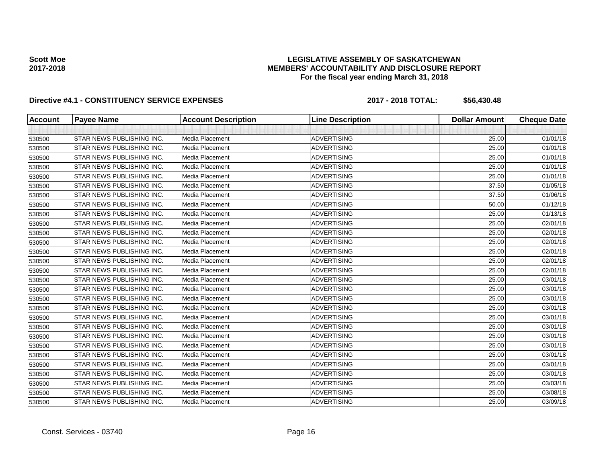### **LEGISLATIVE ASSEMBLY OF SASKATCHEWAN MEMBERS' ACCOUNTABILITY AND DISCLOSURE REPORT For the fiscal year ending March 31, 2018**

| <b>Account</b> | <b>Payee Name</b>         | <b>Account Description</b> | <b>Line Description</b> | <b>Dollar Amount</b> | <b>Cheque Date</b> |
|----------------|---------------------------|----------------------------|-------------------------|----------------------|--------------------|
|                |                           |                            |                         |                      |                    |
| 530500         | STAR NEWS PUBLISHING INC. | Media Placement            | <b>ADVERTISING</b>      | 25.00                | 01/01/18           |
| 530500         | STAR NEWS PUBLISHING INC. | Media Placement            | <b>ADVERTISING</b>      | 25.00                | 01/01/18           |
| 530500         | STAR NEWS PUBLISHING INC. | Media Placement            | <b>ADVERTISING</b>      | 25.00                | 01/01/18           |
| 530500         | STAR NEWS PUBLISHING INC. | Media Placement            | <b>ADVERTISING</b>      | 25.00                | 01/01/18           |
| 530500         | STAR NEWS PUBLISHING INC. | Media Placement            | <b>ADVERTISING</b>      | 25.00                | 01/01/18           |
| 530500         | STAR NEWS PUBLISHING INC. | Media Placement            | <b>ADVERTISING</b>      | 37.50                | 01/05/18           |
| 530500         | STAR NEWS PUBLISHING INC. | Media Placement            | <b>ADVERTISING</b>      | 37.50                | 01/06/18           |
| 530500         | STAR NEWS PUBLISHING INC. | Media Placement            | <b>ADVERTISING</b>      | 50.00                | 01/12/18           |
| 530500         | STAR NEWS PUBLISHING INC. | Media Placement            | <b>ADVERTISING</b>      | 25.00                | 01/13/18           |
| 530500         | STAR NEWS PUBLISHING INC. | Media Placement            | <b>ADVERTISING</b>      | 25.00                | 02/01/18           |
| 530500         | STAR NEWS PUBLISHING INC. | Media Placement            | <b>ADVERTISING</b>      | 25.00                | 02/01/18           |
| 530500         | STAR NEWS PUBLISHING INC. | Media Placement            | <b>ADVERTISING</b>      | 25.00                | 02/01/18           |
| 530500         | STAR NEWS PUBLISHING INC. | Media Placement            | <b>ADVERTISING</b>      | 25.00                | 02/01/18           |
| 530500         | STAR NEWS PUBLISHING INC. | Media Placement            | <b>ADVERTISING</b>      | 25.00                | 02/01/18           |
| 530500         | STAR NEWS PUBLISHING INC. | Media Placement            | <b>ADVERTISING</b>      | 25.00                | 02/01/18           |
| 530500         | STAR NEWS PUBLISHING INC. | Media Placement            | <b>ADVERTISING</b>      | 25.00                | 03/01/18           |
| 530500         | STAR NEWS PUBLISHING INC. | Media Placement            | <b>ADVERTISING</b>      | 25.00                | 03/01/18           |
| 530500         | STAR NEWS PUBLISHING INC. | Media Placement            | <b>ADVERTISING</b>      | 25.00                | 03/01/18           |
| 530500         | STAR NEWS PUBLISHING INC. | Media Placement            | <b>ADVERTISING</b>      | 25.00                | 03/01/18           |
| 530500         | STAR NEWS PUBLISHING INC. | Media Placement            | <b>ADVERTISING</b>      | 25.00                | 03/01/18           |
| 530500         | STAR NEWS PUBLISHING INC. | Media Placement            | <b>ADVERTISING</b>      | 25.00                | 03/01/18           |
| 530500         | STAR NEWS PUBLISHING INC. | Media Placement            | <b>ADVERTISING</b>      | 25.00                | 03/01/18           |
| 530500         | STAR NEWS PUBLISHING INC. | Media Placement            | <b>ADVERTISING</b>      | 25.00                | 03/01/18           |
| 530500         | STAR NEWS PUBLISHING INC. | Media Placement            | <b>ADVERTISING</b>      | 25.00                | 03/01/18           |
| 530500         | STAR NEWS PUBLISHING INC. | Media Placement            | <b>ADVERTISING</b>      | 25.00                | 03/01/18           |
| 530500         | STAR NEWS PUBLISHING INC. | Media Placement            | <b>ADVERTISING</b>      | 25.00                | 03/01/18           |
| 530500         | STAR NEWS PUBLISHING INC. | Media Placement            | <b>ADVERTISING</b>      | 25.00                | 03/03/18           |
| 530500         | STAR NEWS PUBLISHING INC. | Media Placement            | <b>ADVERTISING</b>      | 25.00                | 03/08/18           |
| 530500         | STAR NEWS PUBLISHING INC. | Media Placement            | <b>ADVERTISING</b>      | 25.00                | 03/09/18           |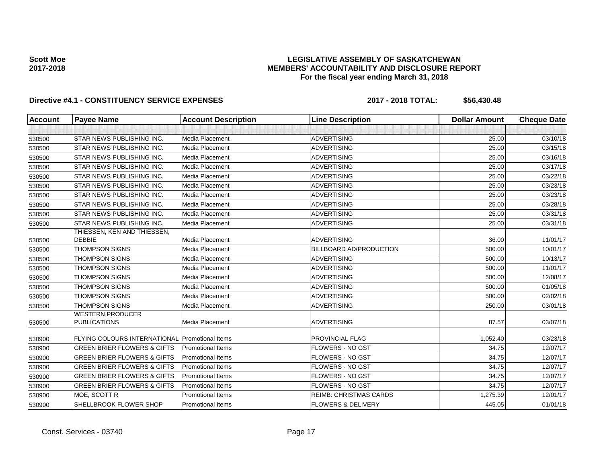### **LEGISLATIVE ASSEMBLY OF SASKATCHEWAN MEMBERS' ACCOUNTABILITY AND DISCLOSURE REPORT For the fiscal year ending March 31, 2018**

| <b>Account</b> | <b>Payee Name</b>                                     | <b>Account Description</b> | <b>Line Description</b>       | <b>Dollar Amount</b> | <b>Cheque Date</b> |
|----------------|-------------------------------------------------------|----------------------------|-------------------------------|----------------------|--------------------|
|                |                                                       |                            |                               |                      |                    |
| 530500         | <b>STAR NEWS PUBLISHING INC.</b>                      | Media Placement            | <b>ADVERTISING</b>            | 25.00                | 03/10/18           |
| 530500         | <b>STAR NEWS PUBLISHING INC.</b>                      | Media Placement            | <b>ADVERTISING</b>            | 25.00                | 03/15/18           |
| 530500         | <b>STAR NEWS PUBLISHING INC.</b>                      | Media Placement            | <b>ADVERTISING</b>            | 25.00                | 03/16/18           |
| 530500         | <b>STAR NEWS PUBLISHING INC.</b>                      | Media Placement            | <b>ADVERTISING</b>            | 25.00                | 03/17/18           |
| 530500         | <b>STAR NEWS PUBLISHING INC.</b>                      | Media Placement            | <b>ADVERTISING</b>            | 25.00                | 03/22/18           |
| 530500         | <b>STAR NEWS PUBLISHING INC.</b>                      | Media Placement            | <b>ADVERTISING</b>            | 25.00                | 03/23/18           |
| 530500         | <b>STAR NEWS PUBLISHING INC.</b>                      | Media Placement            | <b>ADVERTISING</b>            | 25.00                | 03/23/18           |
| 530500         | <b>STAR NEWS PUBLISHING INC.</b>                      | Media Placement            | <b>ADVERTISING</b>            | 25.00                | 03/28/18           |
| 530500         | <b>STAR NEWS PUBLISHING INC.</b>                      | Media Placement            | <b>ADVERTISING</b>            | 25.00                | 03/31/18           |
| 530500         | <b>STAR NEWS PUBLISHING INC.</b>                      | Media Placement            | <b>ADVERTISING</b>            | 25.00                | 03/31/18           |
|                | THIESSEN, KEN AND THIESSEN,                           |                            |                               |                      |                    |
| 530500         | <b>DEBBIE</b>                                         | Media Placement            | <b>ADVERTISING</b>            | 36.00                | 11/01/17           |
| 530500         | <b>THOMPSON SIGNS</b>                                 | Media Placement            | BILLBOARD AD/PRODUCTION       | 500.00               | 10/01/17           |
| 530500         | <b>THOMPSON SIGNS</b>                                 | Media Placement            | <b>ADVERTISING</b>            | 500.00               | 10/13/17           |
| 530500         | <b>THOMPSON SIGNS</b>                                 | Media Placement            | <b>ADVERTISING</b>            | 500.00               | 11/01/17           |
| 530500         | <b>THOMPSON SIGNS</b>                                 | Media Placement            | <b>ADVERTISING</b>            | 500.00               | 12/08/17           |
| 530500         | <b>THOMPSON SIGNS</b>                                 | Media Placement            | <b>ADVERTISING</b>            | 500.00               | 01/05/18           |
| 530500         | <b>THOMPSON SIGNS</b>                                 | Media Placement            | <b>ADVERTISING</b>            | 500.00               | 02/02/18           |
| 530500         | <b>THOMPSON SIGNS</b>                                 | Media Placement            | <b>ADVERTISING</b>            | 250.00               | 03/01/18           |
| 530500         | <b>WESTERN PRODUCER</b><br><b>PUBLICATIONS</b>        | Media Placement            | <b>ADVERTISING</b>            | 87.57                | 03/07/18           |
| 530900         | <b>FLYING COLOURS INTERNATIONAL Promotional Items</b> |                            | PROVINCIAL FLAG               | 1,052.40             | 03/23/18           |
| 530900         | <b>GREEN BRIER FLOWERS &amp; GIFTS</b>                | <b>Promotional Items</b>   | <b>FLOWERS - NO GST</b>       | 34.75                | 12/07/17           |
| 530900         | <b>GREEN BRIER FLOWERS &amp; GIFTS</b>                | <b>Promotional Items</b>   | FLOWERS - NO GST              | 34.75                | 12/07/17           |
| 530900         | <b>GREEN BRIER FLOWERS &amp; GIFTS</b>                | <b>Promotional Items</b>   | <b>FLOWERS - NO GST</b>       | 34.75                | 12/07/17           |
| 530900         | <b>GREEN BRIER FLOWERS &amp; GIFTS</b>                | <b>Promotional Items</b>   | <b>FLOWERS - NO GST</b>       | 34.75                | 12/07/17           |
| 530900         | <b>GREEN BRIER FLOWERS &amp; GIFTS</b>                | Promotional Items          | FLOWERS - NO GST              | 34.75                | 12/07/17           |
| 530900         | MOE, SCOTT R                                          | <b>Promotional Items</b>   | <b>REIMB: CHRISTMAS CARDS</b> | 1,275.39             | 12/01/17           |
| 530900         | SHELLBROOK FLOWER SHOP                                | <b>Promotional Items</b>   | <b>FLOWERS &amp; DELIVERY</b> | 445.05               | 01/01/18           |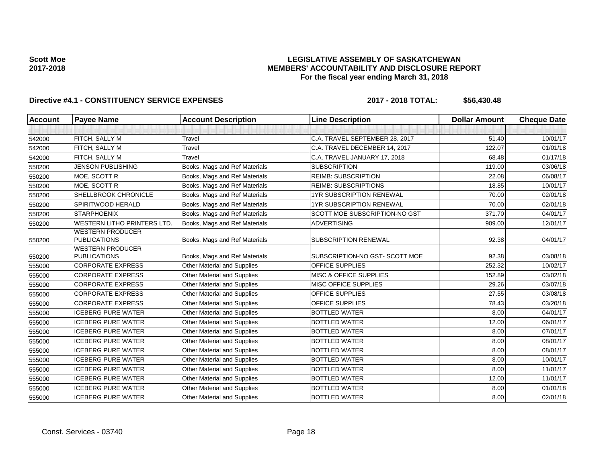### **LEGISLATIVE ASSEMBLY OF SASKATCHEWAN MEMBERS' ACCOUNTABILITY AND DISCLOSURE REPORT For the fiscal year ending March 31, 2018**

| <b>Account</b> | <b>Payee Name</b>                              | <b>Account Description</b>         | <b>Line Description</b>           | <b>Dollar Amount</b> | <b>Cheque Date</b> |
|----------------|------------------------------------------------|------------------------------------|-----------------------------------|----------------------|--------------------|
|                |                                                |                                    |                                   |                      |                    |
| 542000         | FITCH, SALLY M                                 | Travel                             | C.A. TRAVEL SEPTEMBER 28, 2017    | 51.40                | 10/01/17           |
| 542000         | FITCH, SALLY M                                 | Travel                             | C.A. TRAVEL DECEMBER 14, 2017     | 122.07               | 01/01/18           |
| 542000         | FITCH, SALLY M                                 | Travel                             | C.A. TRAVEL JANUARY 17, 2018      | 68.48                | 01/17/18           |
| 550200         | <b>JENSON PUBLISHING</b>                       | Books, Mags and Ref Materials      | <b>SUBSCRIPTION</b>               | 119.00               | 03/06/18           |
| 550200         | MOE, SCOTT R                                   | Books, Mags and Ref Materials      | <b>REIMB: SUBSCRIPTION</b>        | 22.08                | 06/08/17           |
| 550200         | MOE, SCOTT R                                   | Books, Mags and Ref Materials      | <b>REIMB: SUBSCRIPTIONS</b>       | 18.85                | 10/01/17           |
| 550200         | <b>SHELLBROOK CHRONICLE</b>                    | Books, Mags and Ref Materials      | 1YR SUBSCRIPTION RENEWAL          | 70.00                | 02/01/18           |
| 550200         | <b>SPIRITWOOD HERALD</b>                       | Books, Mags and Ref Materials      | <b>1YR SUBSCRIPTION RENEWAL</b>   | 70.00                | 02/01/18           |
| 550200         | <b>STARPHOENIX</b>                             | Books, Mags and Ref Materials      | SCOTT MOE SUBSCRIPTION-NO GST     | 371.70               | 04/01/17           |
| 550200         | <b>WESTERN LITHO PRINTERS LTD.</b>             | Books, Mags and Ref Materials      | <b>ADVERTISING</b>                | 909.00               | 12/01/17           |
|                | <b>WESTERN PRODUCER</b>                        |                                    |                                   |                      |                    |
| 550200         | <b>PUBLICATIONS</b>                            | Books, Mags and Ref Materials      | <b>SUBSCRIPTION RENEWAL</b>       | 92.38                | 04/01/17           |
| 550200         | <b>WESTERN PRODUCER</b><br><b>PUBLICATIONS</b> | Books, Mags and Ref Materials      | SUBSCRIPTION-NO GST-SCOTT MOE     | 92.38                | 03/08/18           |
| 555000         | <b>CORPORATE EXPRESS</b>                       | Other Material and Supplies        | <b>OFFICE SUPPLIES</b>            | 252.32               | 10/02/17           |
| 555000         | <b>CORPORATE EXPRESS</b>                       | Other Material and Supplies        | <b>MISC &amp; OFFICE SUPPLIES</b> | 152.89               | 03/02/18           |
| 555000         | <b>CORPORATE EXPRESS</b>                       | Other Material and Supplies        | MISC OFFICE SUPPLIES              | 29.26                | 03/07/18           |
| 555000         | <b>CORPORATE EXPRESS</b>                       | <b>Other Material and Supplies</b> | <b>OFFICE SUPPLIES</b>            | 27.55                | 03/08/18           |
| 555000         | <b>CORPORATE EXPRESS</b>                       | Other Material and Supplies        | <b>OFFICE SUPPLIES</b>            | 78.43                | 03/20/18           |
| 555000         | <b>ICEBERG PURE WATER</b>                      | Other Material and Supplies        | <b>BOTTLED WATER</b>              | 8.00                 | 04/01/17           |
| 555000         | <b>ICEBERG PURE WATER</b>                      | <b>Other Material and Supplies</b> | <b>BOTTLED WATER</b>              | 12.00                | 06/01/17           |
| 555000         | <b>ICEBERG PURE WATER</b>                      | Other Material and Supplies        | <b>BOTTLED WATER</b>              | 8.00                 | 07/01/17           |
| 555000         | <b>ICEBERG PURE WATER</b>                      | <b>Other Material and Supplies</b> | <b>BOTTLED WATER</b>              | 8.00                 | 08/01/17           |
| 555000         | <b>ICEBERG PURE WATER</b>                      | <b>Other Material and Supplies</b> | <b>BOTTLED WATER</b>              | 8.00                 | 08/01/17           |
| 555000         | <b>ICEBERG PURE WATER</b>                      | Other Material and Supplies        | <b>BOTTLED WATER</b>              | 8.00                 | 10/01/17           |
| 555000         | <b>ICEBERG PURE WATER</b>                      | <b>Other Material and Supplies</b> | <b>BOTTLED WATER</b>              | 8.00                 | 11/01/17           |
| 555000         | <b>ICEBERG PURE WATER</b>                      | Other Material and Supplies        | <b>BOTTLED WATER</b>              | 12.00                | 11/01/17           |
| 555000         | <b>ICEBERG PURE WATER</b>                      | Other Material and Supplies        | <b>BOTTLED WATER</b>              | 8.00                 | 01/01/18           |
| 555000         | <b>ICEBERG PURE WATER</b>                      | <b>Other Material and Supplies</b> | <b>BOTTLED WATER</b>              | 8.00                 | 02/01/18           |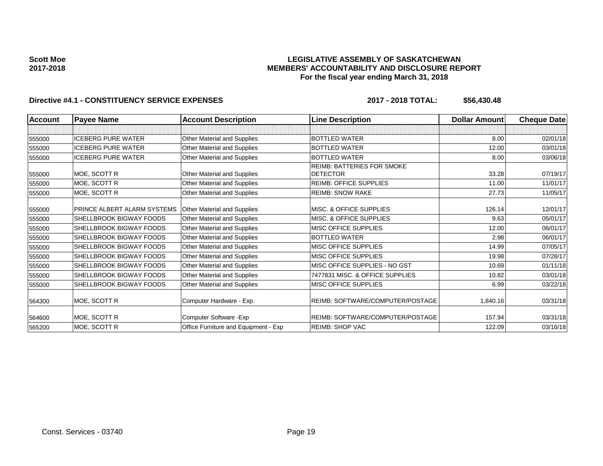### **LEGISLATIVE ASSEMBLY OF SASKATCHEWAN MEMBERS' ACCOUNTABILITY AND DISCLOSURE REPORT For the fiscal year ending March 31, 2018**

| <b>Account</b> | <b>Payee Name</b>                  | <b>Account Description</b>           | <b>Line Description</b>           | <b>Dollar Amount</b> | <b>Cheque Date</b> |
|----------------|------------------------------------|--------------------------------------|-----------------------------------|----------------------|--------------------|
|                |                                    |                                      |                                   |                      |                    |
| 555000         | <b>ICEBERG PURE WATER</b>          | Other Material and Supplies          | <b>BOTTLED WATER</b>              | 8.00                 | 02/01/18           |
| 555000         | <b>ICEBERG PURE WATER</b>          | Other Material and Supplies          | <b>BOTTLED WATER</b>              | 12.00                | 03/01/18           |
| 555000         | <b>ICEBERG PURE WATER</b>          | Other Material and Supplies          | <b>BOTTLED WATER</b>              | 8.00                 | 03/06/18           |
|                |                                    |                                      | <b>REIMB: BATTERIES FOR SMOKE</b> |                      |                    |
| 555000         | MOE, SCOTT R                       | Other Material and Supplies          | <b>DETECTOR</b>                   | 33.28                | 07/19/17           |
| 555000         | MOE, SCOTT R                       | Other Material and Supplies          | <b>REIMB: OFFICE SUPPLIES</b>     | 11.00                | 11/01/17           |
| 555000         | MOE, SCOTT R                       | Other Material and Supplies          | <b>REIMB: SNOW RAKE</b>           | 27.73                | 11/05/17           |
| 555000         | <b>PRINCE ALBERT ALARM SYSTEMS</b> | Other Material and Supplies          | MISC. & OFFICE SUPPLIES           | 126.14               | 12/01/17           |
| 555000         | <b>SHELLBROOK BIGWAY FOODS</b>     | Other Material and Supplies          | MISC. & OFFICE SUPPLIES           | 9.63                 | 05/01/17           |
| 555000         | SHELLBROOK BIGWAY FOODS            | Other Material and Supplies          | MISC OFFICE SUPPLIES              | 12.00                | 06/01/17           |
| 555000         | <b>SHELLBROOK BIGWAY FOODS</b>     | Other Material and Supplies          | <b>BOTTLED WATER</b>              | 2.98                 | 06/01/17           |
| 555000         | <b>SHELLBROOK BIGWAY FOODS</b>     | Other Material and Supplies          | MISC OFFICE SUPPLIES              | 14.99                | 07/05/17           |
| 555000         | <b>SHELLBROOK BIGWAY FOODS</b>     | Other Material and Supplies          | MISC OFFICE SUPPLIES              | 19.98                | 07/28/17           |
| 555000         | <b>SHELLBROOK BIGWAY FOODS</b>     | Other Material and Supplies          | MISC OFFICE SUPPLIES - NO GST     | 10.69                | 01/11/18           |
| 555000         | <b>SHELLBROOK BIGWAY FOODS</b>     | Other Material and Supplies          | 7477831 MISC. & OFFICE SUPPLIES   | 10.82                | 03/01/18           |
| 555000         | <b>SHELLBROOK BIGWAY FOODS</b>     | Other Material and Supplies          | MISC OFFICE SUPPLIES              | 6.99                 | 03/22/18           |
| 564300         | MOE, SCOTT R                       | Computer Hardware - Exp.             | REIMB: SOFTWARE/COMPUTER/POSTAGE  | 1,840.16             | 03/31/18           |
| 564600         | MOE, SCOTT R                       | Computer Software - Exp              | REIMB: SOFTWARE/COMPUTER/POSTAGE  | 157.94               | 03/31/18           |
| 565200         | MOE, SCOTT R                       | Office Furniture and Equipment - Exp | <b>REIMB: SHOP VAC</b>            | 122.09               | 03/16/18           |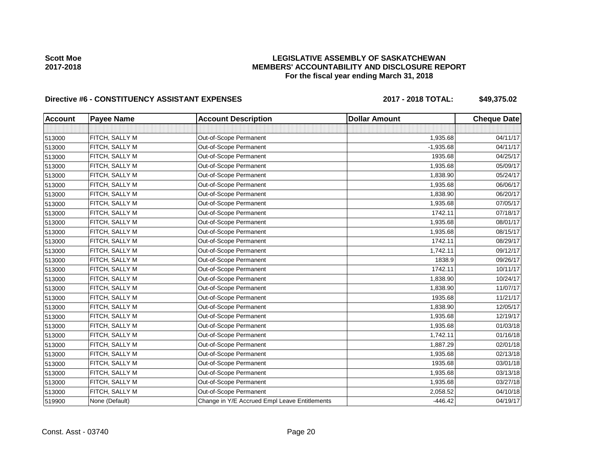### **LEGISLATIVE ASSEMBLY OF SASKATCHEWAN MEMBERS' ACCOUNTABILITY AND DISCLOSURE REPORT For the fiscal year ending March 31, 2018**

# Directive #6 - CONSTITUENCY ASSISTANT EXPENSES 2017 - 2018 TOTAL: \$49,375.02

| <b>Account</b> | <b>Payee Name</b> | <b>Account Description</b>                    | <b>Dollar Amount</b> | <b>Cheque Date</b> |
|----------------|-------------------|-----------------------------------------------|----------------------|--------------------|
|                |                   |                                               |                      |                    |
| 513000         | FITCH, SALLY M    | Out-of-Scope Permanent                        | 1,935.68             | 04/11/17           |
| 513000         | FITCH, SALLY M    | Out-of-Scope Permanent                        | $-1,935.68$          | 04/11/17           |
| 513000         | FITCH, SALLY M    | Out-of-Scope Permanent                        | 1935.68              | 04/25/17           |
| 513000         | FITCH, SALLY M    | Out-of-Scope Permanent                        | 1,935.68             | 05/09/17           |
| 513000         | FITCH, SALLY M    | Out-of-Scope Permanent                        | 1,838.90             | 05/24/17           |
| 513000         | FITCH, SALLY M    | Out-of-Scope Permanent                        | 1,935.68             | 06/06/17           |
| 513000         | FITCH, SALLY M    | Out-of-Scope Permanent                        | 1,838.90             | 06/20/17           |
| 513000         | FITCH, SALLY M    | Out-of-Scope Permanent                        | 1,935.68             | 07/05/17           |
| 513000         | FITCH, SALLY M    | Out-of-Scope Permanent                        | 1742.11              | 07/18/17           |
| 513000         | FITCH, SALLY M    | Out-of-Scope Permanent                        | 1,935.68             | 08/01/17           |
| 513000         | FITCH, SALLY M    | Out-of-Scope Permanent                        | 1,935.68             | 08/15/17           |
| 513000         | FITCH, SALLY M    | Out-of-Scope Permanent                        | 1742.11              | 08/29/17           |
| 513000         | FITCH, SALLY M    | Out-of-Scope Permanent                        | 1,742.11             | 09/12/17           |
| 513000         | FITCH, SALLY M    | Out-of-Scope Permanent                        | 1838.9               | 09/26/17           |
| 513000         | FITCH, SALLY M    | Out-of-Scope Permanent                        | 1742.11              | 10/11/17           |
| 513000         | FITCH, SALLY M    | Out-of-Scope Permanent                        | 1,838.90             | 10/24/17           |
| 513000         | FITCH, SALLY M    | Out-of-Scope Permanent                        | 1,838.90             | 11/07/17           |
| 513000         | FITCH, SALLY M    | Out-of-Scope Permanent                        | 1935.68              | 11/21/17           |
| 513000         | FITCH, SALLY M    | Out-of-Scope Permanent                        | 1,838.90             | 12/05/17           |
| 513000         | FITCH, SALLY M    | Out-of-Scope Permanent                        | 1,935.68             | 12/19/17           |
| 513000         | FITCH, SALLY M    | Out-of-Scope Permanent                        | 1,935.68             | 01/03/18           |
| 513000         | FITCH, SALLY M    | Out-of-Scope Permanent                        | 1,742.11             | 01/16/18           |
| 513000         | FITCH, SALLY M    | Out-of-Scope Permanent                        | 1,887.29             | 02/01/18           |
| 513000         | FITCH, SALLY M    | Out-of-Scope Permanent                        | 1,935.68             | 02/13/18           |
| 513000         | FITCH, SALLY M    | Out-of-Scope Permanent                        | 1935.68              | 03/01/18           |
| 513000         | FITCH, SALLY M    | Out-of-Scope Permanent                        | 1,935.68             | 03/13/18           |
| 513000         | FITCH, SALLY M    | Out-of-Scope Permanent                        | 1,935.68             | 03/27/18           |
| 513000         | FITCH, SALLY M    | Out-of-Scope Permanent                        | 2,058.52             | 04/10/18           |
| 519900         | None (Default)    | Change in Y/E Accrued Empl Leave Entitlements | $-446.42$            | 04/19/17           |